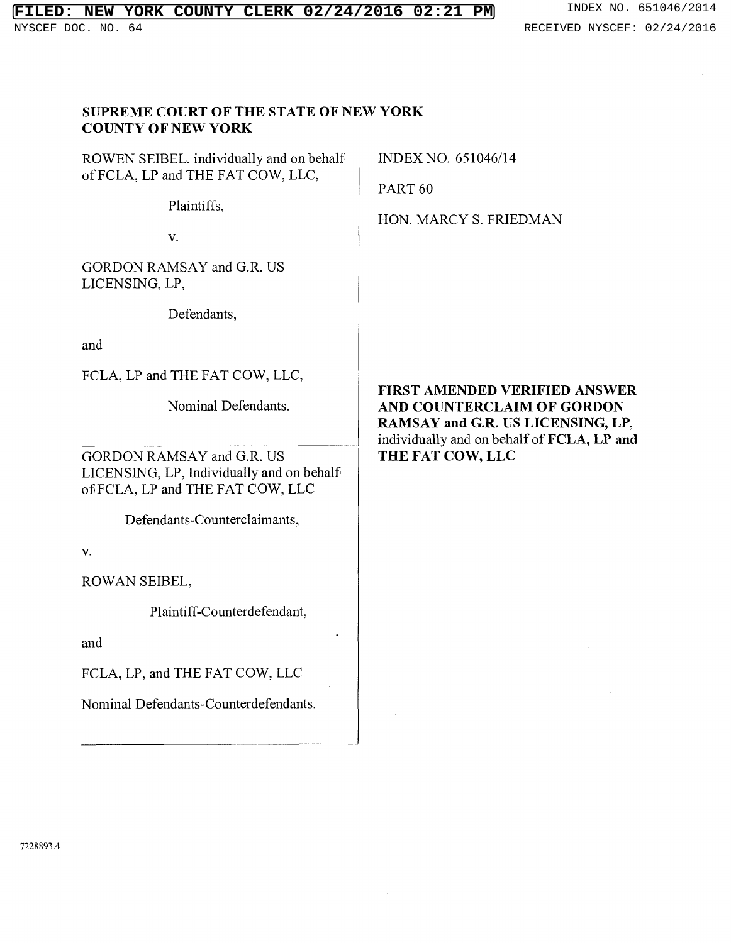# **FILED: NEW YORK COUNTY CLERK 02/24/2016 02:21 PM** INDEX NO. 651046/2014<br>NYSCEF DOC. NO. 64<br>RECEIVED NYSCEF: 02/24/2016

# RECEIVED NYSCEF: 02/24/2016

| <b>COUNTY OF NEW YORK</b><br>ROWEN SEIBEL, individually and on behalf<br>of FCLA, LP and THE FAT COW, LLC,<br>Plaintiffs,<br>V.<br>GORDON RAMSAY and G.R. US<br>LICENSING, LP,<br>Defendants,<br>and<br>FCLA, LP and THE FAT COW, LLC,<br>Nominal Defendants.<br>GORDON RAMSAY and G.R. US<br>LICENSING, LP, Individually and on behalf<br>of FCLA, LP and THE FAT COW, LLC<br>Defendants-Counterclaimants,<br>V.<br>ROWAN SEIBEL,<br>Plaintiff-Counterdefendant,<br>and<br>FCLA, LP, and THE FAT COW, LLC<br>Nominal Defendants-Counterdefendants. | INDEX NO. 651046/14<br>PART <sub>60</sub><br>HON. MARCY S. FRIEDMAN<br><b>FIRST AMENDED VERIFIED ANSWER</b><br>AND COUNTERCLAIM OF GORDON<br>RAMSAY and G.R. US LICENSING, LP,<br>individually and on behalf of FCLA, LP and<br>THE FAT COW, LLC |
|-----------------------------------------------------------------------------------------------------------------------------------------------------------------------------------------------------------------------------------------------------------------------------------------------------------------------------------------------------------------------------------------------------------------------------------------------------------------------------------------------------------------------------------------------------|--------------------------------------------------------------------------------------------------------------------------------------------------------------------------------------------------------------------------------------------------|
|-----------------------------------------------------------------------------------------------------------------------------------------------------------------------------------------------------------------------------------------------------------------------------------------------------------------------------------------------------------------------------------------------------------------------------------------------------------------------------------------------------------------------------------------------------|--------------------------------------------------------------------------------------------------------------------------------------------------------------------------------------------------------------------------------------------------|

 $\sim$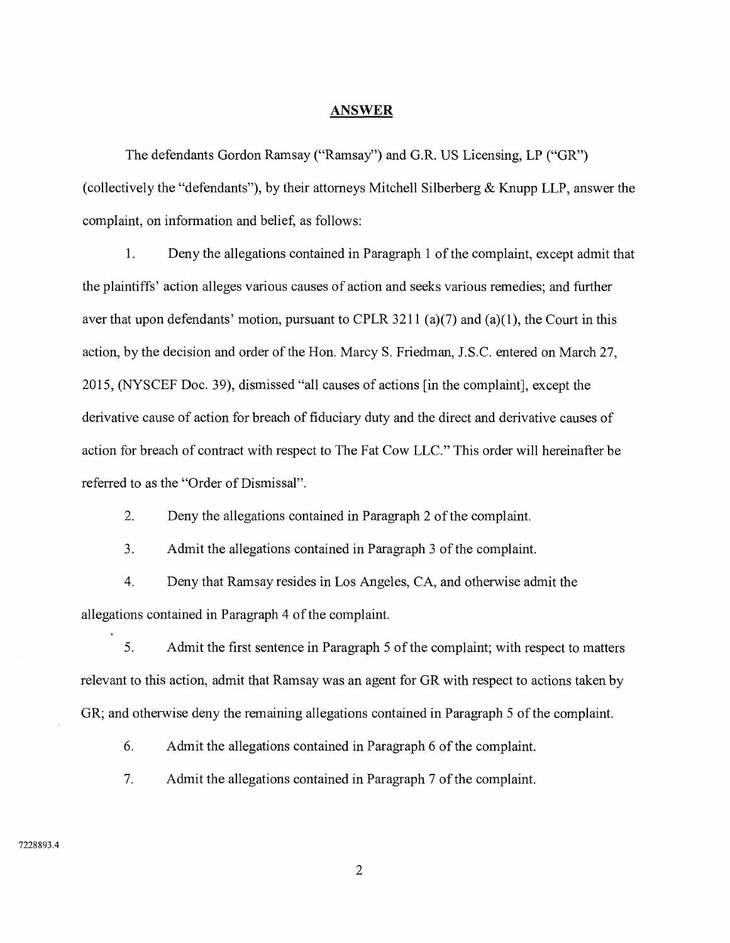#### **ANSWER**

The defendants Gordon Ramsay ("Ramsay") and G.R. US Licensing, LP ("GR") (collectively the "defendants"), by their attorneys Mitchell Silberberg & Knupp LLP, answer the complaint, on information and belief, as follows:

 $1.$ Deny the allegations contained in Paragraph 1 of the complaint, except admit that the plaintiffs' action alleges various causes of action and seeks various remedies; and further aver that upon defendants' motion, pursuant to CPLR 3211 (a)(7) and (a)(1), the Court in this action, by the decision and order of the Hon. Marcy S. Friedman, J.S.C. entered on March 27, 2015, (NYSCEF Doc. 39), dismissed "all causes of actions [in the complaint], except the derivative cause of action for breach of fiduciary duty and the direct and derivative causes of action for breach of contract with respect to The Fat Cow LLC." This order will hereinafter be referred to as the "Order of Dismissal".

 $\overline{2}$ . Deny the allegations contained in Paragraph 2 of the complaint.

 $3<sub>1</sub>$ Admit the allegations contained in Paragraph 3 of the complaint.

4 Deny that Ramsay resides in Los Angeles, CA, and otherwise admit the allegations contained in Paragraph 4 of the complaint.

 $5<sub>1</sub>$ Admit the first sentence in Paragraph 5 of the complaint; with respect to matters relevant to this action, admit that Ramsay was an agent for GR with respect to actions taken by GR; and otherwise deny the remaining allegations contained in Paragraph 5 of the complaint.

6. Admit the allegations contained in Paragraph 6 of the complaint.

 $7.$ Admit the allegations contained in Paragraph 7 of the complaint.

#### 7228893.4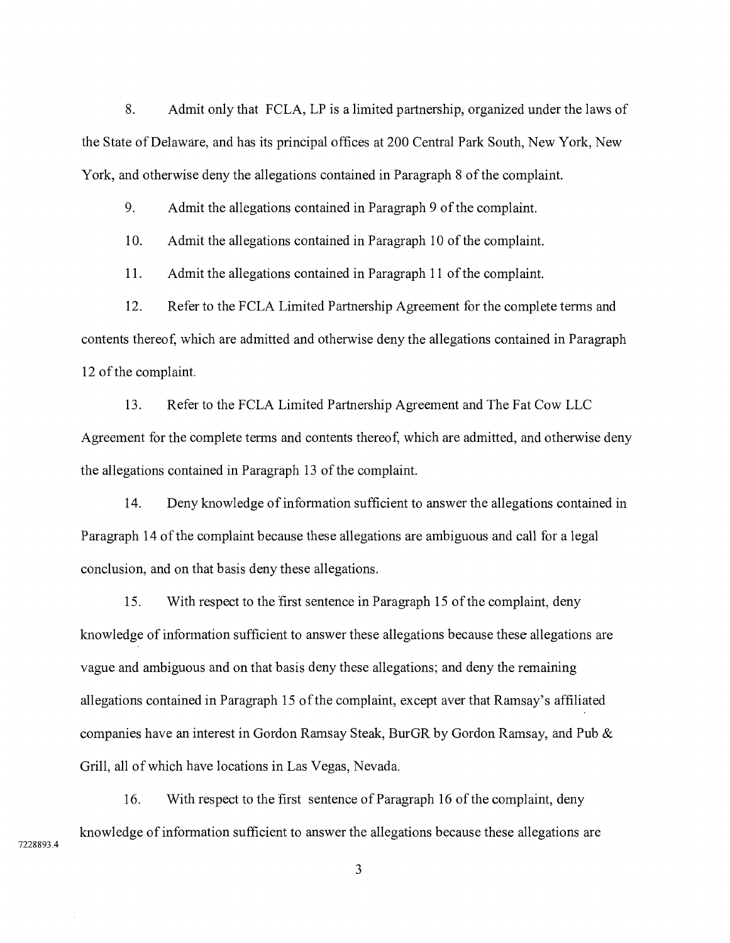8. Admit only that FCLA, LP is a limited partnership, organized under the laws of the State of Delaware, and has its principal offices at 200 Central Park South, New York, New York, and otherwise deny the allegations contained in Paragraph 8 of the complaint.

9. Admit the allegations contained in Paragraph 9 of the complaint.

10. Admit the allegations contained in Paragraph 10 of the complaint.

11. Admit the allegations contained in Paragraph 11 of the complaint.

12. Refer to the FCLA Limited Partnership Agreement for the complete terms and contents thereof, which are admitted and otherwise deny the allegations contained in Paragraph 12 of the complaint.

13. Refer to the FCLA Limited Partnership Agreement and The Fat Cow LLC Agreement for the complete terms and contents thereof, which are admitted, and otherwise deny the allegations contained in Paragraph 13 of the complaint.

14. Deny knowledge of information sufficient to answer the allegations contained in Paragraph 14 of the complaint because these allegations are ambiguous and call for a legal conclusion, and on that basis deny these allegations.

15. With respect to the first sentence in Paragraph 15 of the complaint, deny knowledge of information sufficient to answer these allegations because these allegations are vague and ambiguous and on that basis deny these allegations; and deny the remaining allegations contained in Paragraph 15 of the complaint, except aver that Ramsay's affiliated companies have an interest in Gordon Ramsay Steak, BurGR by Gordon Ramsay, and Pub & Grill, all of which have locations in Las Vegas, Nevada.

16. With respect to the first sentence of Paragraph 16 of the complaint, deny knowledge of information sufficient to answer the allegations because these allegations are

7228893.4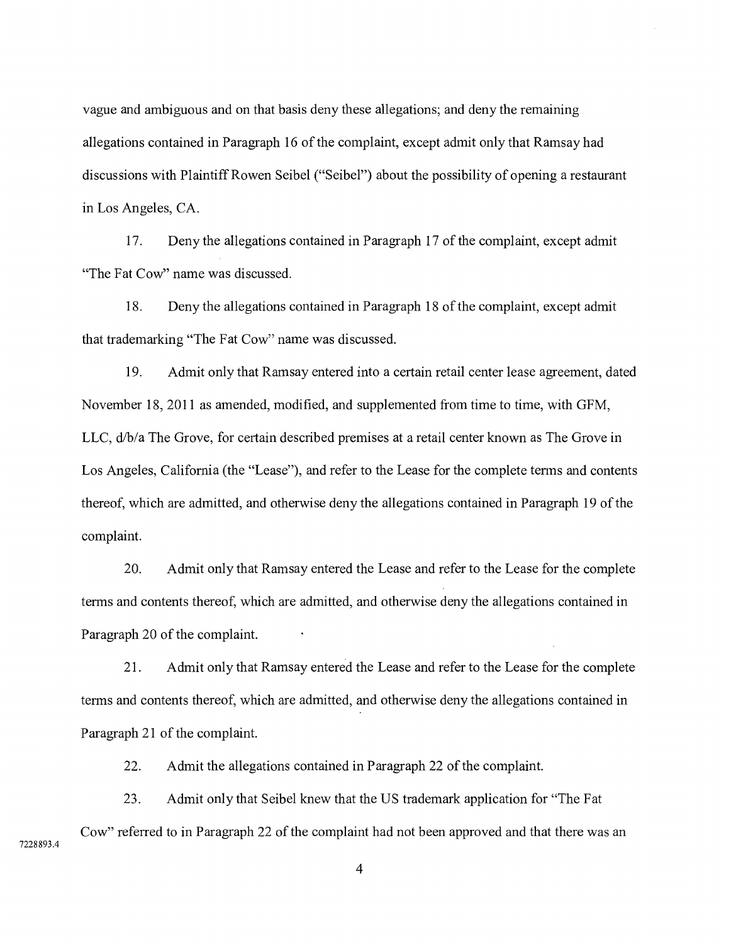vague and ambiguous and on that basis deny these allegations; and deny the remaining allegations contained in Paragraph 16 of the complaint, except admit only that Ramsay had discussions with Plaintiff Rowen Seibel ("Seibel") about the possibility of opening a restaurant in Los Angeles, CA.

17. Deny the allegations contained in Paragraph 17 of the complaint, except admit "The Fat Cow" name was discussed.

18. Deny the allegations contained in Paragraph 18 of the complaint, except admit that trademarking "The Fat Cow" name was discussed.

19. Admit only that Ramsay entered into a certain retail center lease agreement, dated November 18, 2011 as amended, modified, and supplemented from time to time, with GFM, LLC, d/b/a The Grove, for certain described premises at a retail center known as The Grove in Los Angeles, California (the "Lease"), and refer to the Lease for the complete terms and contents thereof, which are admitted, and otherwise deny the allegations contained in Paragraph 19 of the complaint.

20. Admit only that Ramsay entered the Lease and refer to the Lease for the complete terms and contents thereof, which are admitted, and otherwise deny the allegations contained in Paragraph 20 of the complaint.

21. Admit only that Ramsay entered the Lease and refer to the Lease for the complete terms and contents thereof, which are admitted, and otherwise deny the allegations contained in Paragraph 21 of the complaint.

22. Admit the allegations contained in Paragraph 22 of the complaint.

23. Admit only that Seibel knew that the US trademark application for "The Fat Cow" referred to in Paragraph 22 of the complaint had not been approved and that there was an

7228893.4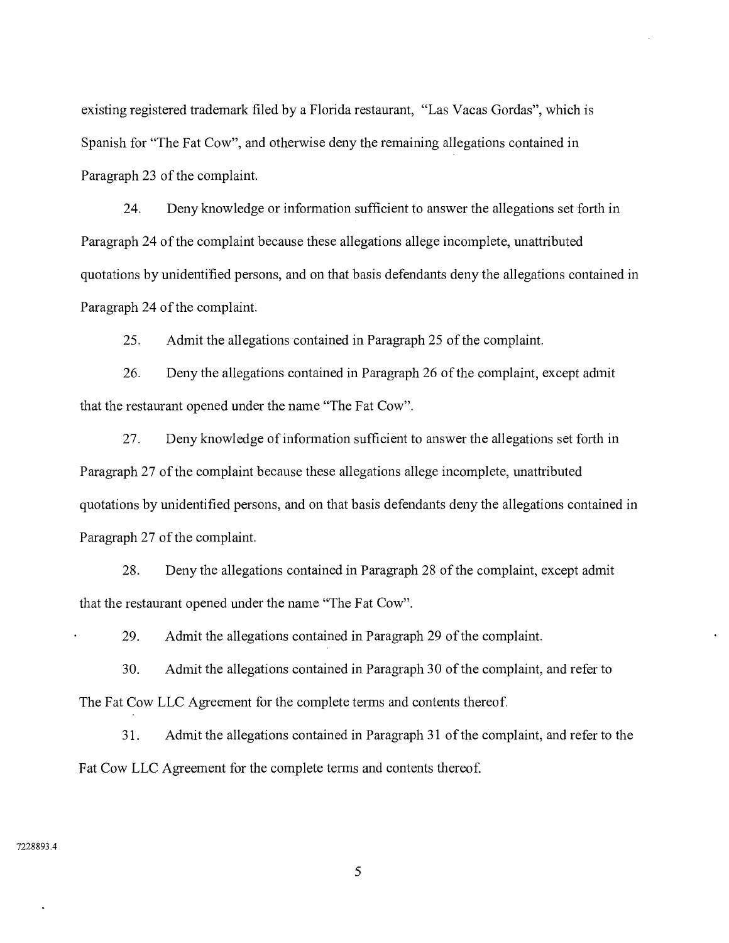existing registered trademark filed by a Florida restaurant, "Las Vacas Gordas", which is Spanish for "The Fat Cow", and otherwise deny the remaining allegations contained in Paragraph 23 of the complaint.

24. Deny knowledge or information sufficient to answer the allegations set forth in Paragraph 24 of the complaint because these allegations allege incomplete, unattributed quotations by unidentified persons, and on that basis defendants deny the allegations contained in Paragraph 24 of the complaint.

25. Admit the allegations contained in Paragraph 25 of the complaint.

26. Deny the allegations contained in Paragraph 26 of the complaint, except admit that the restaurant opened under the name "The Fat Cow".

27. Deny knowledge of information sufficient to answer the allegations set forth in Paragraph 27 of the complaint because these allegations allege incomplete, unattributed quotations by unidentified persons, and on that basis defendants deny the allegations contained in Paragraph 27 of the complaint.

28. Deny the allegations contained in Paragraph 28 of the complaint, except admit that the restaurant opened under the name "The Fat Cow".

29. Admit the allegations contained in Paragraph 29 of the complaint.

30. Admit the allegations contained in Paragraph 30 of the complaint, and refer to The Fat Cow LLC Agreement for the complete terms and contents thereof.

31. Admit the allegations contained in Paragraph 31 of the complaint, and refer to the Fat Cow LLC Agreement for the complete terms and contents thereof.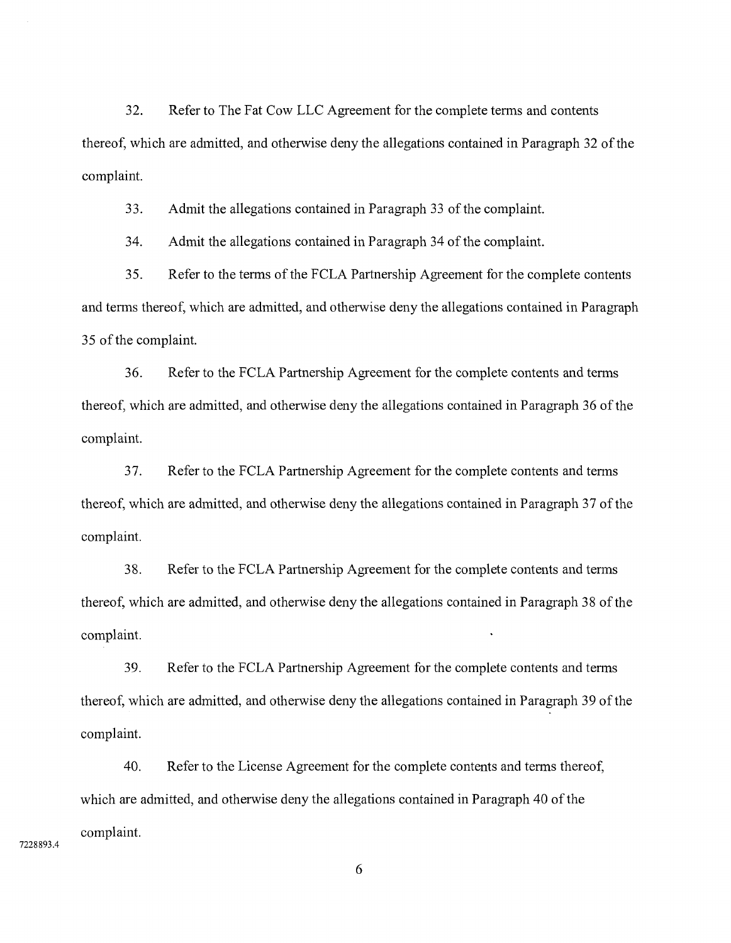32. Refer to The Fat Cow LLC Agreement for the complete terms and contents thereof, which are admitted, and otherwise deny the allegations contained in Paragraph 32 of the complaint.

33. Admit the allegations contained in Paragraph 33 of the complaint.

34. Admit the allegations contained in Paragraph 34 of the complaint.

35. Refer to the terms of the FCLA Partnership Agreement for the complete contents and terms thereof, which are admitted, and otherwise deny the allegations contained in Paragraph 35 of the complaint.

36. Refer to the FCLA Partnership Agreement for the complete contents and terms thereof, which are admitted, and otherwise deny the allegations contained in Paragraph 36 of the complaint.

37. Refer to the FCLA Partnership Agreement for the complete contents and terms thereof, which are admitted, and otherwise deny the allegations contained in Paragraph 37 of the complaint.

38. Refer to the FCLA Partnership Agreement for the complete contents and terms thereof, which are admitted, and otherwise deny the allegations contained in Paragraph 38 of the complaint.

39. Refer to the FCLA Partnership Agreement for the complete contents and terms thereof, which are admitted, and otherwise deny the allegations contained in Paragraph 39 of the complaint.

40. Refer to the License Agreement for the complete contents and terms thereof, which are admitted, and otherwise deny the allegations contained in Paragraph 40 of the complaint.

7228893.4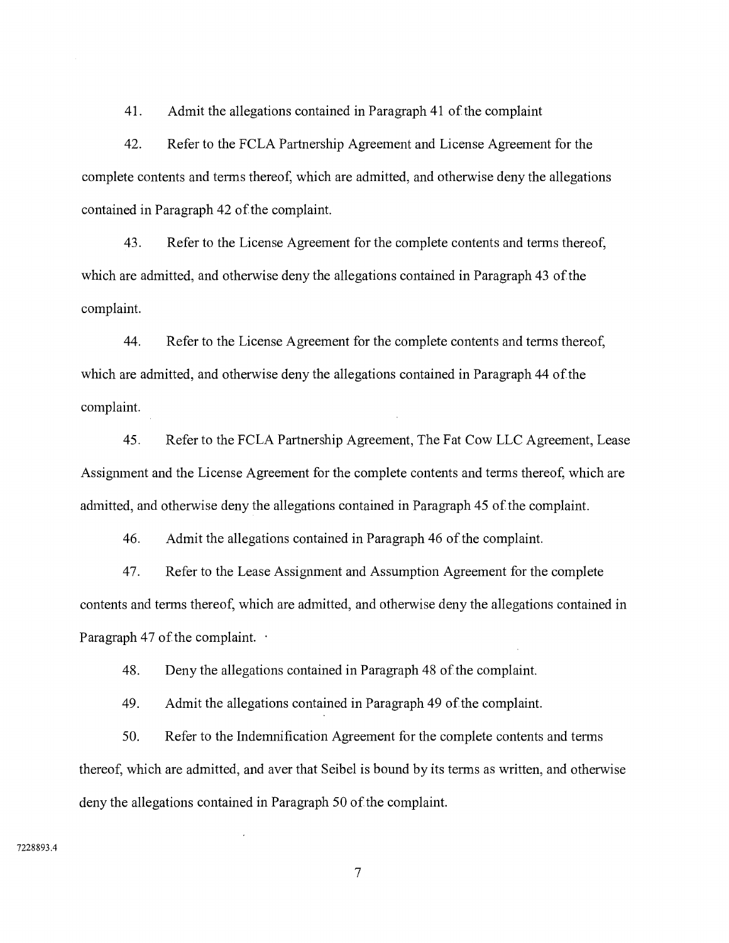41. Admit the allegations contained in Paragraph 41 of the complaint

42. Refer to the FCLA Partnership Agreement and License Agreement for the complete contents and terms thereof, which are admitted, and otherwise deny the allegations contained in Paragraph 42 of the complaint.

43. Refer to the License Agreement for the complete contents and terms thereof, which are admitted, and otherwise deny the allegations contained in Paragraph 43 of the complaint.

44. Refer to the License Agreement for the complete contents and terms thereof, which are admitted, and otherwise deny the allegations contained in Paragraph 44 of the complaint.

45. Refer to the FCLA Partnership Agreement, The Fat Cow LLC Agreement, Lease Assignment and the License Agreement for the complete contents and terms thereof, which are admitted, and otherwise deny the allegations contained in Paragraph 45 of the complaint.

46. Admit the allegations contained in Paragraph 46 of the complaint.

47. Refer to the Lease Assignment and Assumption Agreement for the complete contents and terms thereof, which are admitted, and otherwise deny the allegations contained in Paragraph 47 of the complaint.  $\cdot$ 

48. Deny the allegations contained in Paragraph 48 of the complaint.

49. Admit the allegations contained in Paragraph 49 of the complaint.

50. Refer to the Indemnification Agreement for the complete contents and terms thereof, which are admitted, and aver that Seibel is bound by its terms as written, and otherwise deny the allegations contained in Paragraph 50 of the complaint.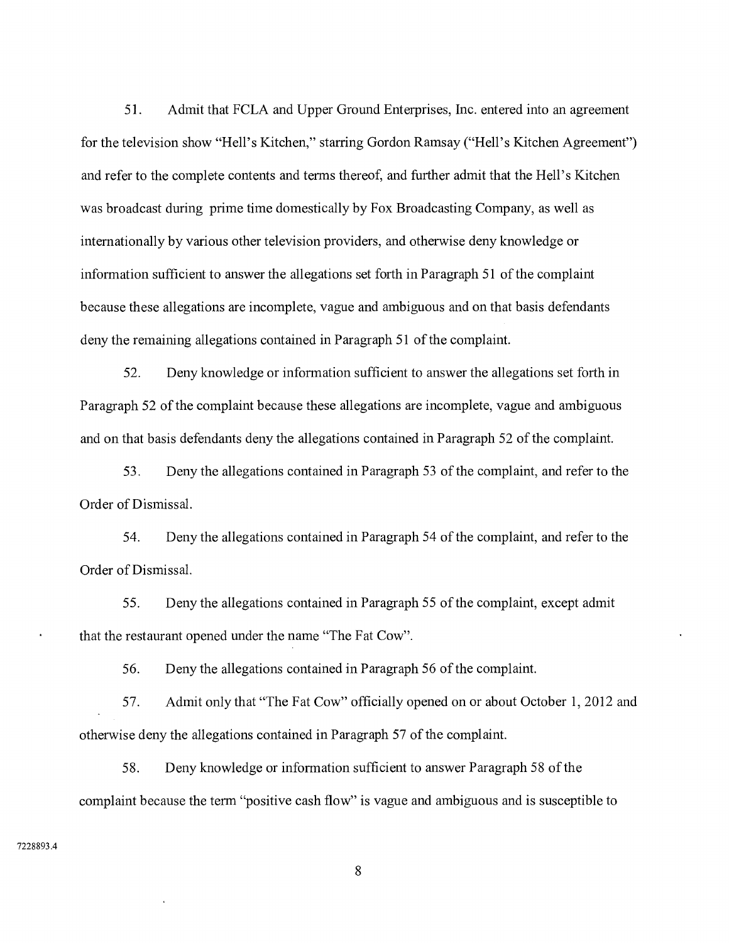51. Admit that FCLA and Upper Ground Enterprises, Inc. entered into an agreement for the television show "Hell's Kitchen," starring Gordon Ramsay ("Hell's Kitchen Agreement") and refer to the complete contents and terms thereof, and further admit that the Hell's Kitchen was broadcast during prime time domestically by Fox Broadcasting Company, as well as internationally by various other television providers, and otherwise deny knowledge or information sufficient to answer the allegations set forth in Paragraph 51 of the complaint because these allegations are incomplete, vague and ambiguous and on that basis defendants deny the remaining allegations contained in Paragraph 51 of the complaint.

52. Deny knowledge or information sufficient to answer the allegations set forth in Paragraph 52 of the complaint because these allegations are incomplete, vague and ambiguous and on that basis defendants deny the allegations contained in Paragraph 52 of the complaint.

53. Deny the allegations contained in Paragraph 53 of the complaint, and refer to the Order of Dismissal.

54. Deny the allegations contained in Paragraph 54 of the complaint, and refer to the Order of Dismissal.

55. Deny the allegations contained in Paragraph 55 of the complaint, except admit that the restaurant opened under the name "The Fat Cow".

56. Deny the allegations contained in Paragraph 56 of the complaint.

57. Admit only that "The Fat Cow" officially opened on or about October 1, 2012 and otherwise deny the allegations contained in Paragraph 57 of the complaint.

58. Deny knowledge or information sufficient to answer Paragraph 58 of the complaint because the term "positive cash flow" is vague and ambiguous and is susceptible to

#### 7228893.4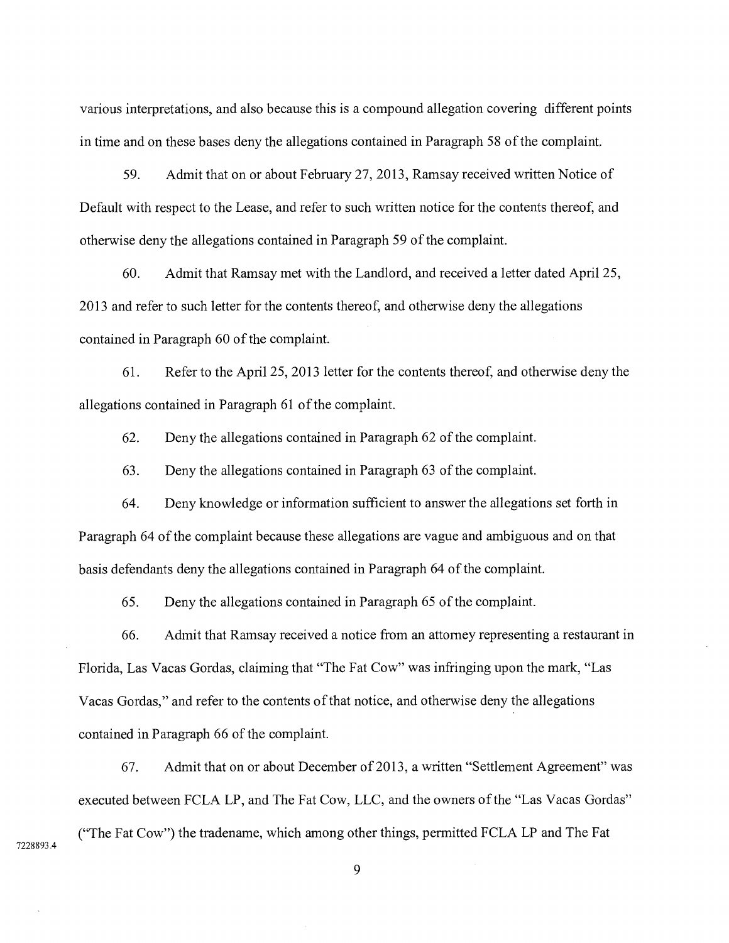various interpretations, and also because this is a compound allegation covering different points in time and on these bases deny the allegations contained in Paragraph 58 of the complaint.

59. Admit that on or about February 27, 2013, Ramsay received written Notice of Default with respect to the Lease, and refer to such written notice for the contents thereof, and otherwise deny the allegations contained in Paragraph 59 of the complaint.

60. Admit that Ramsay met with the Landlord, and received a letter dated April 25 2013 and refer to such letter for the contents thereof, and otherwise deny the allegations contained in Paragraph 60 of the complaint.

61. Refer to the April 25, 2013 letter for the contents thereof, and otherwise deny the allegations contained in Paragraph 61 of the complaint.

62. Deny the allegations contained in Paragraph 62 of the complaint.

63. Deny the allegations contained in Paragraph 63 of the complaint.

64. Deny knowledge or information sufficient to answer the allegations set forth in Paragraph 64 of the complaint because these allegations are vague and ambiguous and on that basis defendants deny the allegations contained in Paragraph 64 of the complaint.

65. Deny the allegations contained in Paragraph 65 of the complaint.

66. Admit that Ramsay received a notice from an attorney representing a restaurant in Florida, Las Vacas Gordas, claiming that "The Fat Cow" was infringing upon the mark, "Las Vacas Gordas," and refer to the contents of that notice, and otherwise deny the allegations contained in Paragraph 66 of the complaint.

67. Admit that on or about December of 2013, a written "Settlement Agreement" was executed between FCLA LP, and The Fat Cow, LLC, and the owners of the "Las Vacas Gordas" ("The Fat Cow") the tradename, which among other things, permitted FCLA LP and The Fat

7228893.4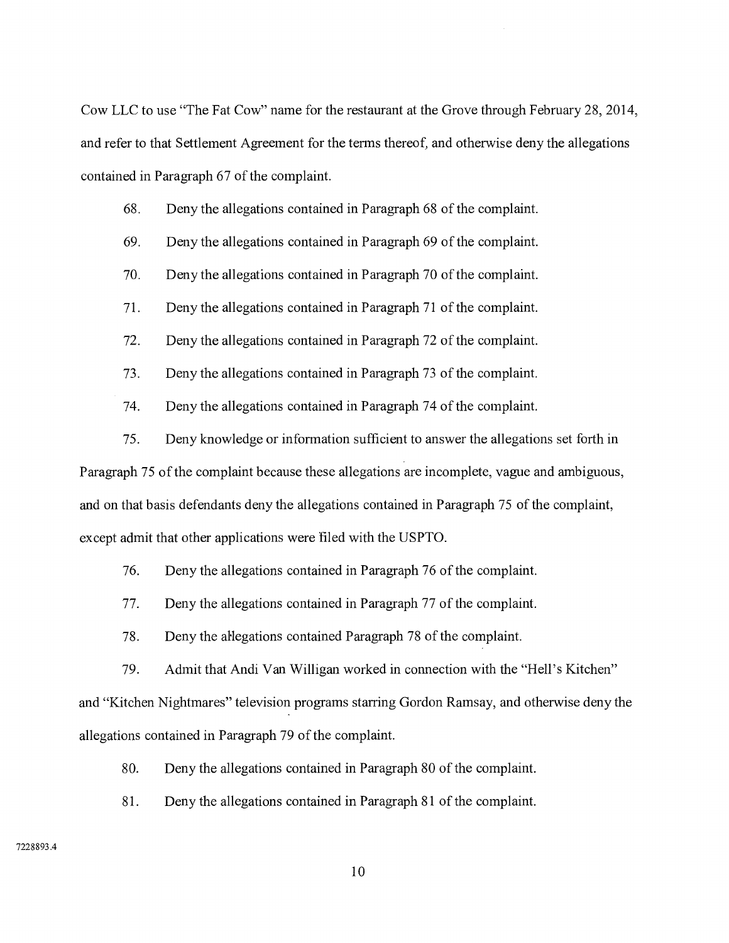Cow LLC to use "The Fat Cow" name for the restaurant at the Grove through February 28, 2014, and refer to that Settlement Agreement for the terms thereof, and otherwise deny the allegations contained in Paragraph 67 of the complaint.

## 68. Deny the allegations contained in Paragraph 68 of the complaint.

- 69. Deny the allegations contained in Paragraph 69 of the complaint.
- 70. Deny the allegations contained in Paragraph 70 of the complaint.
- 71. Deny the allegations contained in Paragraph 71 of the complaint.
- 72. Deny the allegations contained in Paragraph 72 of the complaint.
- 73. Deny the allegations contained in Paragraph 73 of the complaint.
- 74. Deny the allegations contained in Paragraph 74 of the complaint.
- 75. Deny knowledge or information sufficient to answer the allegations set forth in Paragraph 75 of the complaint because these allegations are incomplete, vague and ambiguous, and on that basis defendants deny the allegations contained in Paragraph 75 of the complaint, except admit that other applications were filed with the USPTO.
	- 76. Deny the allegations contained in Paragraph 76 of the complaint.
	- 77. Deny the allegations contained in Paragraph 77 of the complaint.
	- 78. Deny the allegations contained Paragraph 78 of the complaint.

79. Admit that Andi Van Willigan worked in connection with the "Hell's Kitchen" and "Kitchen Nightmares" television programs starring Gordon Ramsay, and otherwise deny the allegations contained in Paragraph 79 of the complaint.

- 80. Deny the allegations contained in Paragraph 80 of the complaint.
- 81. Deny the allegations contained in Paragraph 81 of the complaint.

#### 7228893.4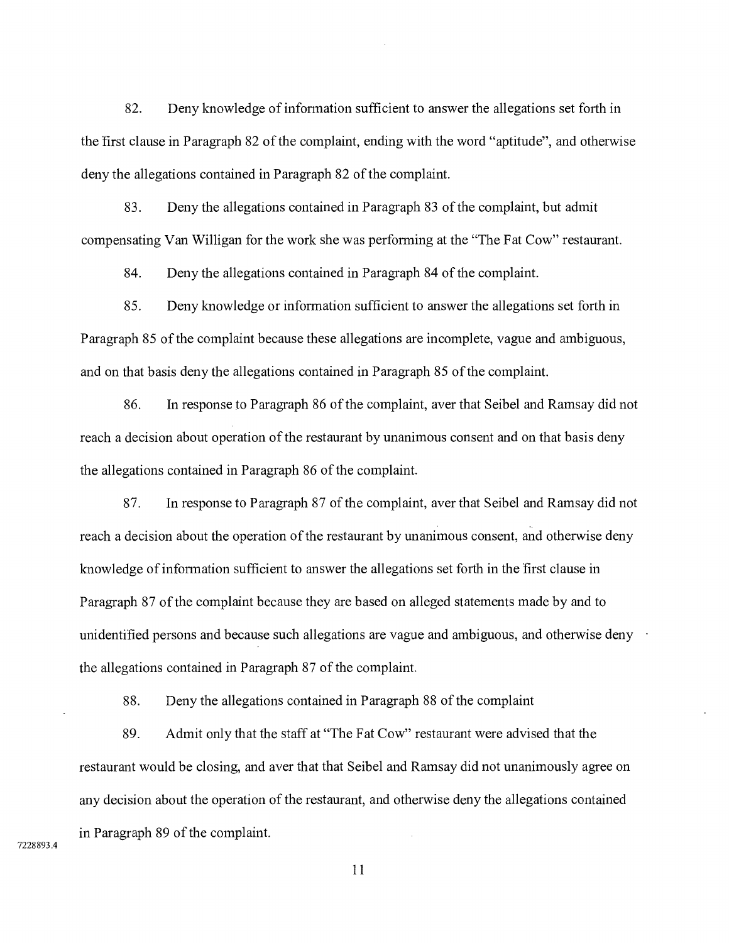82. Deny knowledge of information sufficient to answer the allegations set forth in the first clause in Paragraph 82 of the complaint, ending with the word "aptitude", and otherwise deny the allegations contained in Paragraph 82 of the complaint.

83. Deny the allegations contained in Paragraph 83 of the complaint, but admit compensating Van Willigan for the work she was performing at the "The Fat Cow" restaurant.

84. Deny the allegations contained in Paragraph 84 of the complaint.

85. Deny knowledge or information sufficient to answer the allegations set forth in Paragraph 85 of the complaint because these allegations are incomplete, vague and ambiguous, and on that basis deny the allegations contained in Paragraph 85 of the complaint.

86. In response to Paragraph 86 of the complaint, aver that Seibel and Ramsay did not reach a decision about operation of the restaurant by unanimous consent and on that basis deny the allegations contained in Paragraph 86 of the complaint.

87. In response to Paragraph 87 of the complaint, aver that Seibel and Ramsay did not reach a decision about the operation of the restaurant by unanimous consent, and otherwise deny knowledge of information sufficient to answer the allegations set forth in the first clause in Paragraph 87 of the complaint because they are based on alleged statements made by and to unidentified persons and because such allegations are vague and ambiguous, and otherwise deny  $\cdot$ the allegations contained in Paragraph 87 of the complaint.

88. Deny the allegations contained in Paragraph 88 of the complaint

89. Admit only that the staff at "The Fat Cow" restaurant were advised that the restaurant would be closing, and aver that that Seibel and Ramsay did not unanimously agree on any decision about the operation of the restaurant, and otherwise deny the allegations contained in Paragraph 89 of the complaint.

7228893.4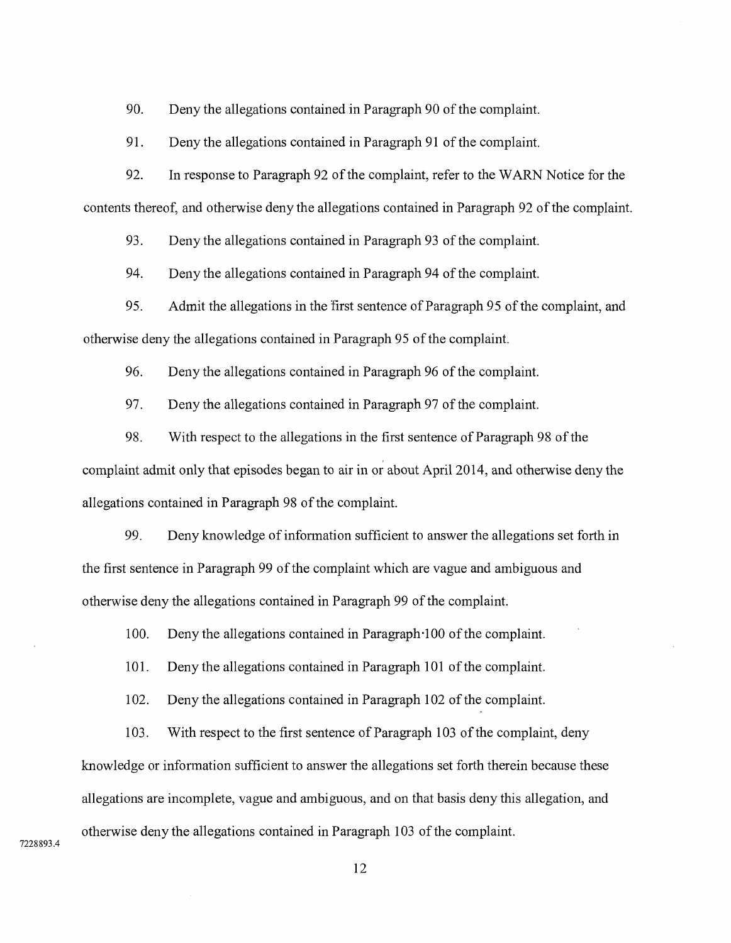90. Deny the allegations contained in Paragraph 90 of the complaint.

91. Deny the allegations contained in Paragraph 91 of the complaint.

92. In response to Paragraph 92 of the complaint, refer to the WARN Notice for the contents thereof, and otherwise deny the allegations contained in Paragraph 92 of the complaint.

93. Deny the allegations contained in Paragraph 93 of the complaint.

94. Deny the allegations contained in Paragraph 94 of the complaint.

95. Admit the allegations in the first sentence of Paragraph 95 of the complaint, and otherwise deny the allegations contained in Paragraph 95 of the complaint.

96. Deny the allegations contained in Paragraph 96 of the complaint.

97. Deny the allegations contained in Paragraph 97 of the complaint.

98. With respect to the allegations in the first sentence of Paragraph 98 of the complaint admit only that episodes began to air in or about April 2014, and otherwise deny the allegations contained in Paragraph 98 of the complaint.

99. Deny knowledge of information sufficient to answer the allegations set forth in the first sentence in Paragraph 99 of the complaint which are vague and ambiguous and otherwise deny the allegations contained in Paragraph 99 of the complaint.

100. Deny the allegations contained in Paragraph-100 of the complaint.

101. Deny the allegations contained in Paragraph 101 of the complaint.

102. Deny the allegations contained in Paragraph 102 of the complaint.

103. With respect to the first sentence of Paragraph 103 of the complaint, deny knowledge or information sufficient to answer the allegations set forth therein because these allegations are incomplete, vague and ambiguous, and on that basis deny this allegation, and otherwise deny the allegations contained in Paragraph 103 of the complaint.

7228893.4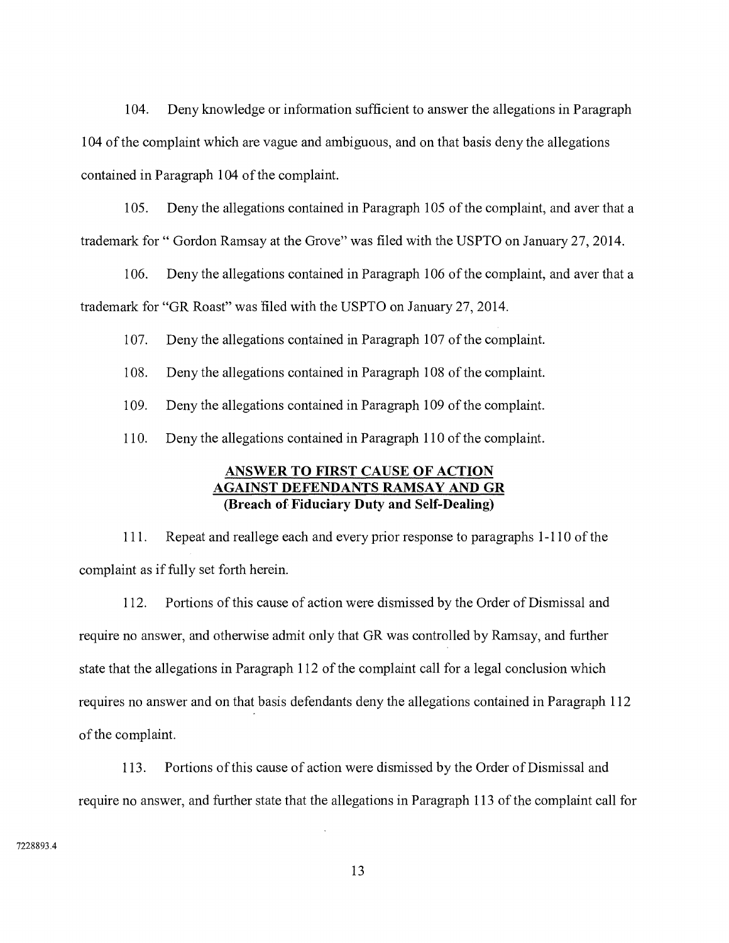104. Deny knowledge or information sufficient to answer the allegations in Paragraph 104 of the complaint which are vague and ambiguous, and on that basis deny the allegations contained in Paragraph 104 of the complaint.

105. Deny the allegations contained in Paragraph 105 of the complaint, and aver that a trademark for " Gordon Ramsay at the Grove" was filed with the USPTO on January 27, 2014.

106. Deny the allegations contained in Paragraph 106 of the complaint, and aver that a trademark for "GR Roast" was filed with the USPTO on January 27, 2014.

107. Deny the allegations contained in Paragraph 107 of the complaint.

108. Deny the allegations contained in Paragraph 108 of the complaint.

109. Deny the allegations contained in Paragraph 109 of the complaint.

110. Deny the allegations contained in Paragraph 110 of the complaint.

# **ANSWER TO FIRST CAUSE OF ACTION AGAINST DEFENDANTS RAMSAY AND GR (Breach of Fiduciary Duty and Self-Dealing)**

111. Repeat and reallege each and every prior response to paragraphs 1 -110 of the complaint as if fully set forth herein.

112. Portions of this cause of action were dismissed by the Order of Dismissal and require no answer, and otherwise admit only that GR was controlled by Ramsay, and further state that the allegations in Paragraph 112 of the complaint call for a legal conclusion which requires no answer and on that basis defendants deny the allegations contained in Paragraph 112 of the complaint.

113. Portions of this cause of action were dismissed by the Order of Dismissal and require no answer, and further state that the allegations in Paragraph 113 of the complaint call for

7228893.4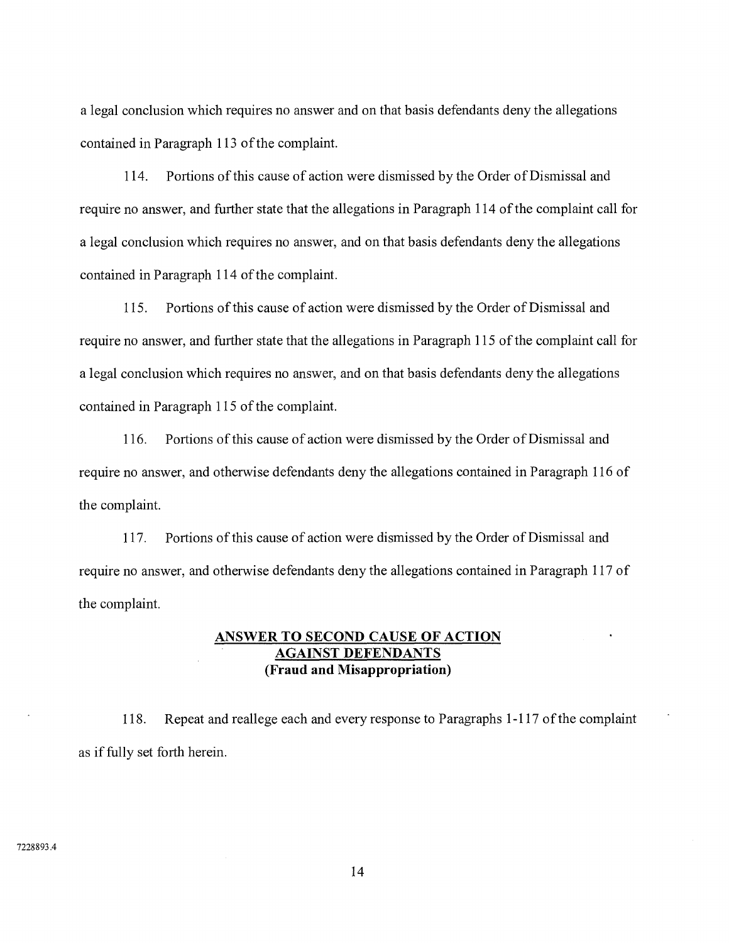a legal conclusion which requires no answer and on that basis defendants deny the allegations contained in Paragraph 113 of the complaint.

114. Portions of this cause of action were dismissed by the Order of Dismissal and require no answer, and further state that the allegations in Paragraph 114 of the complaint call for a legal conclusion which requires no answer, and on that basis defendants deny the allegations contained in Paragraph 114 of the complaint.

115. Portions of this cause of action were dismissed by the Order of Dismissal and require no answer, and further state that the allegations in Paragraph 115 of the complaint call for a legal conclusion which requires no answer, and on that basis defendants deny the allegations contained in Paragraph 115 of the complaint.

116. Portions of this cause of action were dismissed by the Order of Dismissal and require no answer, and otherwise defendants deny the allegations contained in Paragraph 116 of the complaint.

117. Portions of this cause of action were dismissed by the Order of Dismissal and require no answer, and otherwise defendants deny the allegations contained in Paragraph 117 of the complaint.

# **ANSWER TO SECOND CAUSE OF ACTION AGAINST DEFENDANTS (Fraud and Misappropriation)**

118. Repeat and reallege each and every response to Paragraphs 1-117 of the complaint as if fully set forth herein.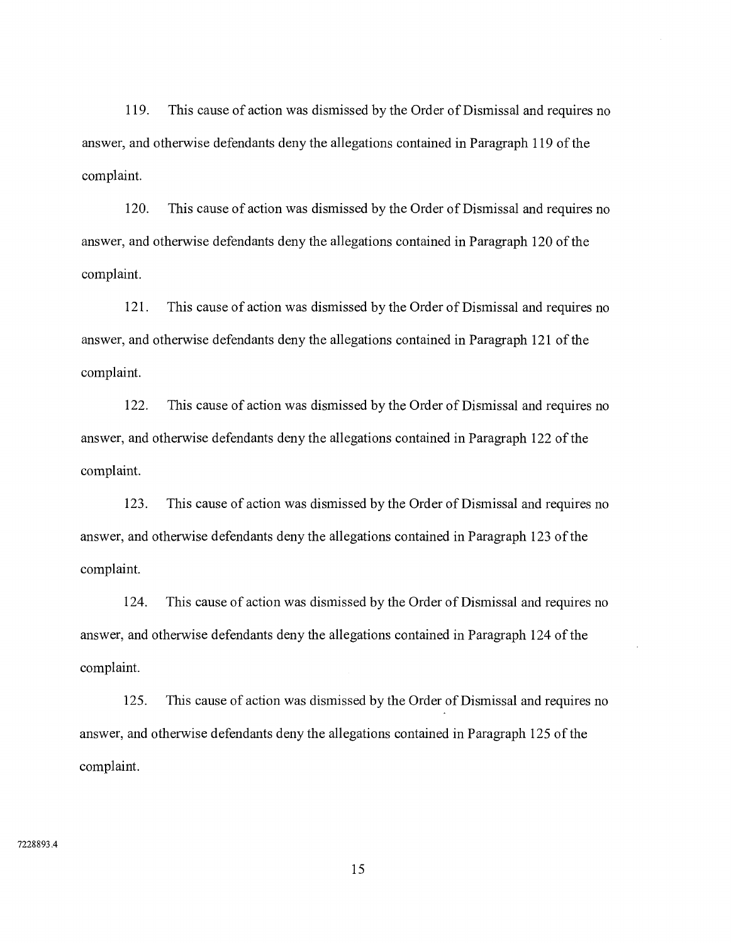119. This cause of action was dismissed by the Order of Dismissal and requires no answer, and otherwise defendants deny the allegations contained in Paragraph 119 of the complaint.

120. This cause of action was dismissed by the Order of Dismissal and requires no answer, and otherwise defendants deny the allegations contained in Paragraph 120 of the complaint.

121. This cause of action was dismissed by the Order of Dismissal and requires no answer, and otherwise defendants deny the allegations contained in Paragraph 121 of the complaint.

122. This cause of action was dismissed by the Order of Dismissal and requires no answer, and otherwise defendants deny the allegations contained in Paragraph 122 of the complaint.

123. This cause of action was dismissed by the Order of Dismissal and requires no answer, and otherwise defendants deny the allegations contained in Paragraph 123 of the complaint.

124. This cause of action was dismissed by the Order of Dismissal and requires no answer, and otherwise defendants deny the allegations contained in Paragraph 124 of the complaint.

125. This cause of action was dismissed by the Order of Dismissal and requires no answer, and otherwise defendants deny the allegations contained in Paragraph 125 of the complaint.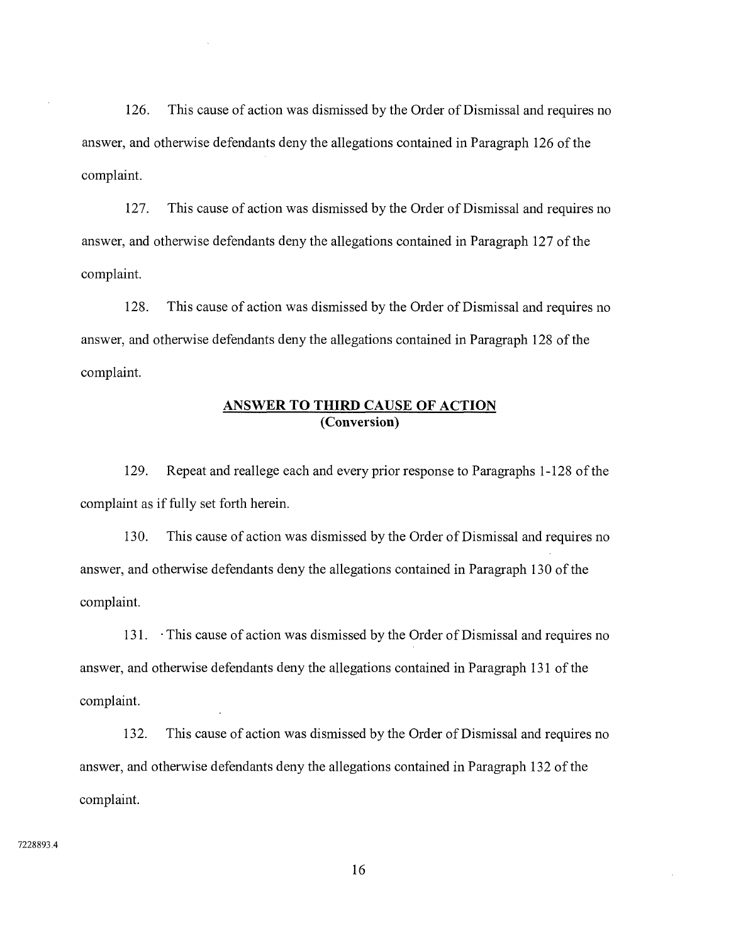126. This cause of action was dismissed by the Order of Dismissal and requires no answer, and otherwise defendants deny the allegations contained in Paragraph 126 of the complaint.

127. This cause of action was dismissed by the Order of Dismissal and requires no answer, and otherwise defendants deny the allegations contained in Paragraph 127 of the complaint.

128. This cause of action was dismissed by the Order of Dismissal and requires no answer, and otherwise defendants deny the allegations contained in Paragraph 128 of the complaint.

## **ANSWER TO THIRD CAUSE OF ACTION (Conversion)**

129. Repeat and reallege each and every prior response to Paragraphs 1-128 of the complaint as if fully set forth herein.

130. This cause of action was dismissed by the Order of Dismissal and requires no answer, and otherwise defendants deny the allegations contained in Paragraph 130 of the complaint.

131. • This cause of action was dismissed by the Order of Dismissal and requires no answer, and otherwise defendants deny the allegations contained in Paragraph 131 of the complaint.

132. This cause of action was dismissed by the Order of Dismissal and requires no answer, and otherwise defendants deny the allegations contained in Paragraph 132 of the complaint.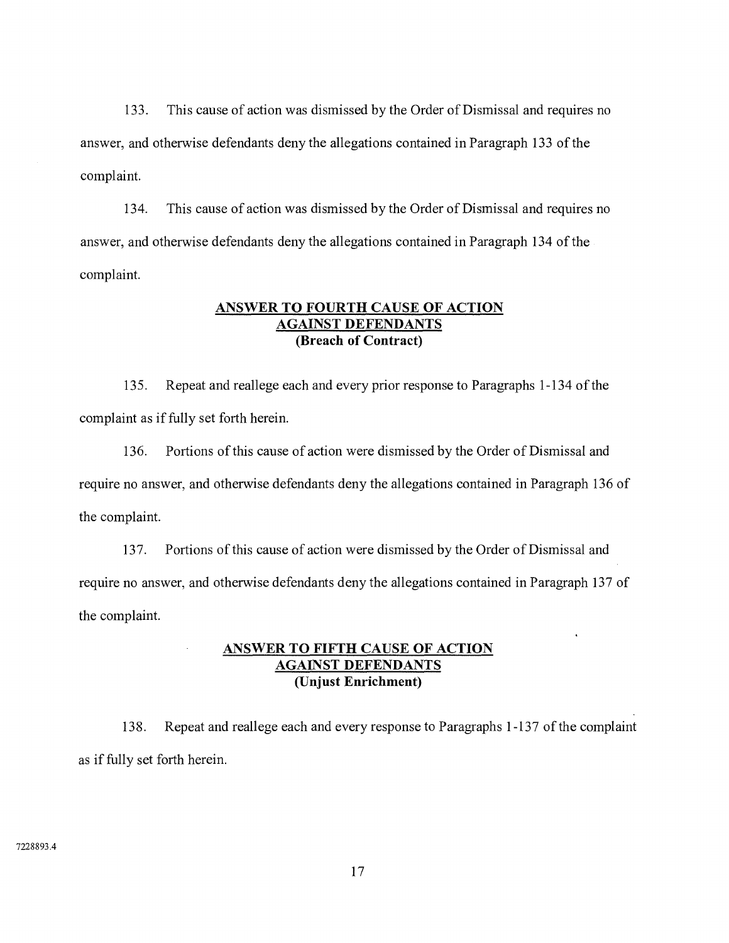133. This cause of action was dismissed by the Order of Dismissal and requires no answer, and otherwise defendants deny the allegations contained in Paragraph 133 of the complaint.

134. This cause of action was dismissed by the Order of Dismissal and requires no answer, and otherwise defendants deny the allegations contained in Paragraph 134 of the complaint.

## **ANSWER TO FOURTH CAUSE OF ACTION AGAINST DEFENDANTS (Breach of Contract)**

135. Repeat and reallege each and every prior response to Paragraphs 1 -134 of the complaint as if fully set forth herein.

136. Portions of this cause of action were dismissed by the Order of Dismissal and require no answer, and otherwise defendants deny the allegations contained in Paragraph 136 of the complaint.

137. Portions of this cause of action were dismissed by the Order of Dismissal and require no answer, and otherwise defendants deny the allegations contained in Paragraph 137 of the complaint.

# **ANSWER TO FIFTH CAUSE OF ACTION AGAINST DEFENDANTS (Unjust Enrichment)**

138. Repeat and reallege each and every response to Paragraphs 1 -137 of the complaint as if fully set forth herein.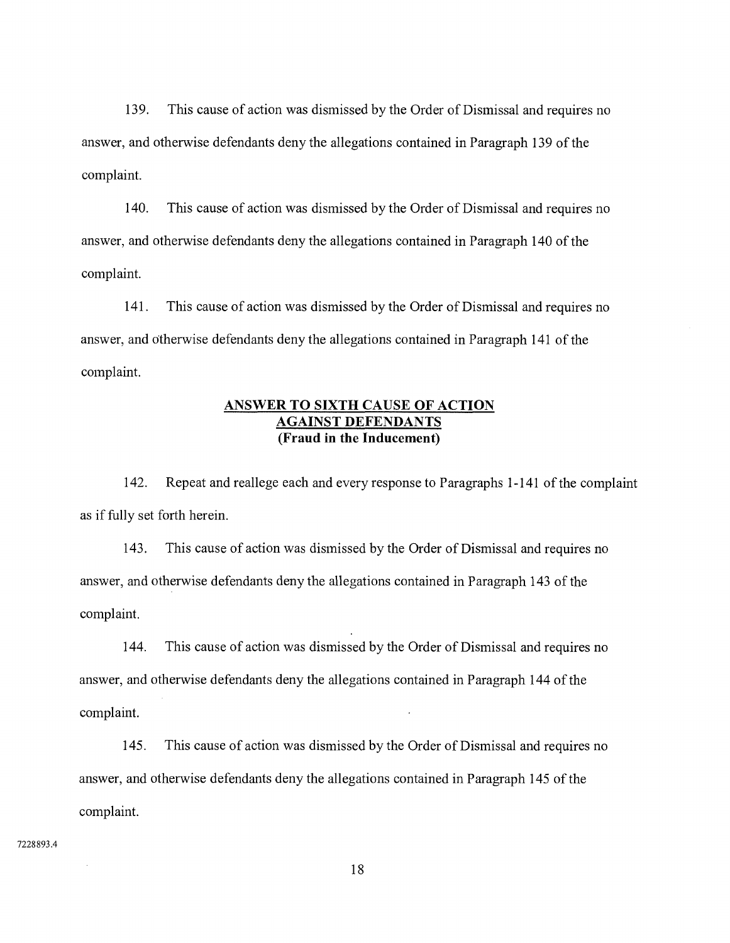139. This cause of action was dismissed by the Order of Dismissal and requires no answer, and otherwise defendants deny the allegations contained in Paragraph 139 of the complaint.

140. This cause of action was dismissed by the Order of Dismissal and requires no answer, and otherwise defendants deny the allegations contained in Paragraph 140 of the complaint.

141. This cause of action was dismissed by the Order of Dismissal and requires no answer, and otherwise defendants deny the allegations contained in Paragraph 141 of the complaint.

## **ANSWER TO SIXTH CAUSE OF ACTION AGAINST DEFENDANTS (Fraud in the Inducement)**

142. Repeat and reallege each and every response to Paragraphs 1-141 of the complaint as if fully set forth herein.

143. This cause of action was dismissed by the Order of Dismissal and requires no answer, and otherwise defendants deny the allegations contained in Paragraph 143 of the complaint.

144. This cause of action was dismissed by the Order of Dismissal and requires no answer, and otherwise defendants deny the allegations contained in Paragraph 144 of the complaint.

145. This cause of action was dismissed by the Order of Dismissal and requires no answer, and otherwise defendants deny the allegations contained in Paragraph 145 of the complaint.

7228893.4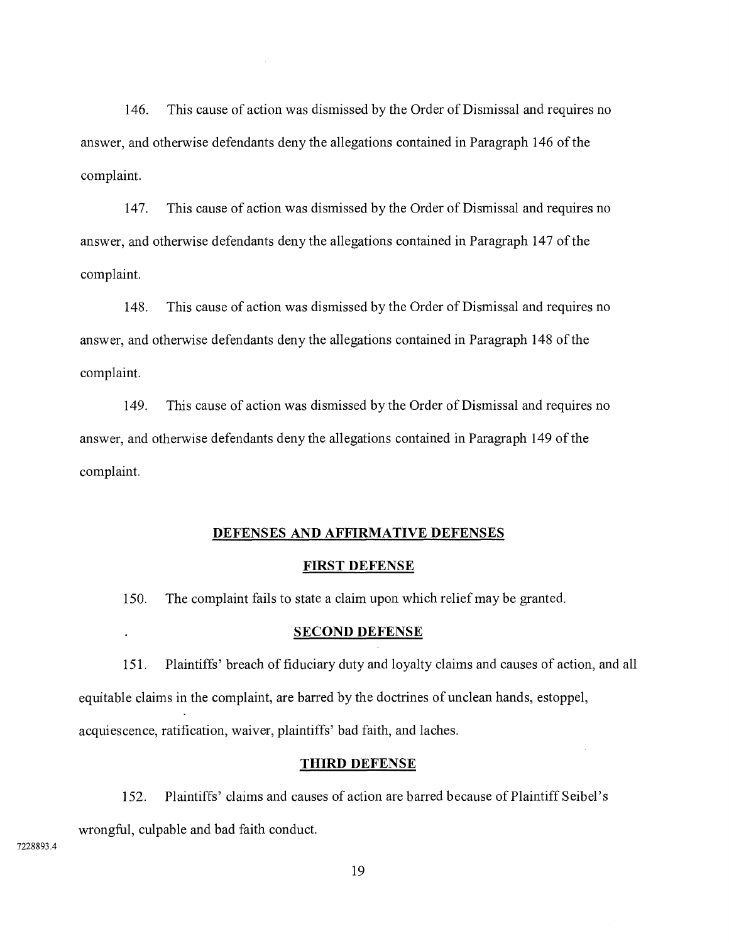146. This cause of action was dismissed by the Order of Dismissal and requires no answer, and otherwise defendants deny the allegations contained in Paragraph 146 of the complaint.

147. This cause of action was dismissed by the Order of Dismissal and requires no answer, and otherwise defendants deny the allegations contained in Paragraph 147 of the complaint.

148. This cause of action was dismissed by the Order of Dismissal and requires no answer, and otherwise defendants deny the allegations contained in Paragraph 148 of the complaint.

149. This cause of action was dismissed by the Order of Dismissal and requires no answer, and otherwise defendants deny the allegations contained in Paragraph 149 of the complaint.

#### **DEFENSES AND AFFIRMATIVE DEFENSES**

#### **FIRST DEFENSE**

150. The complaint fails to state a claim upon which relief may be granted.

#### **SECOND DEFENSE**

151. Plaintiffs' breach of fiduciary duty and loyalty claims and causes of action, and all equitable claims in the complaint, are barred by the doctrines of unclean hands, estoppel, acquiescence, ratification, waiver, plaintiffs' bad faith, and laches.

#### **THIRD DEFENSE**

152. Plaintiffs' claims and causes of action are barred because of Plaintiff Seibel's

wrongful, culpable and bad faith conduct.

 $\ddot{\phantom{a}}$ 

7228893.4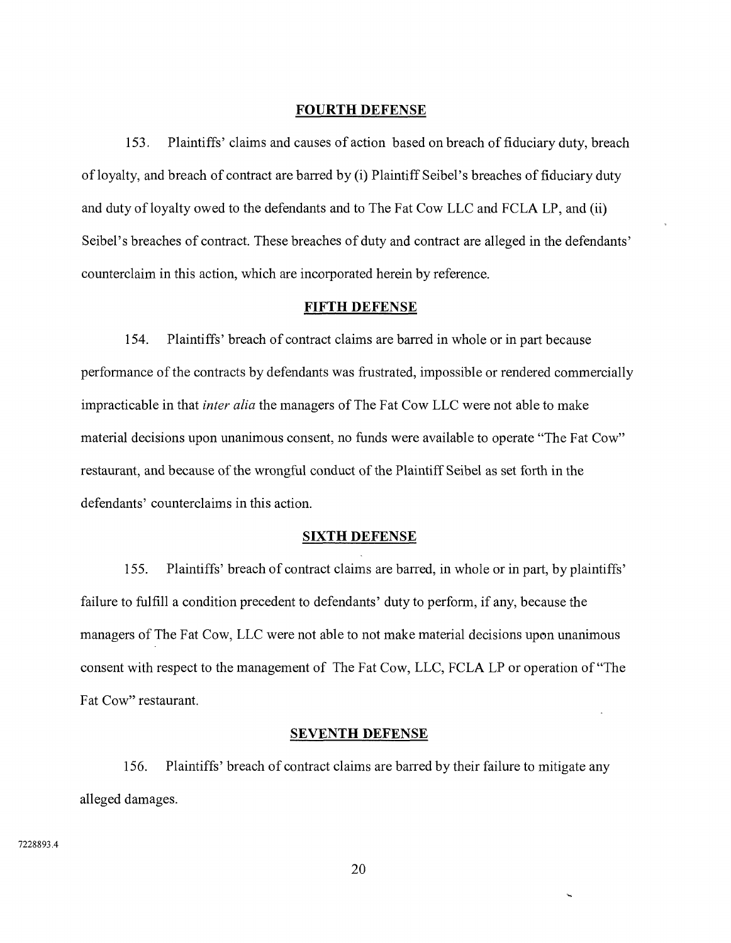#### **FOURTH DEFENSE**

153. Plaintiffs' claims and causes of action based on breach of fiduciary duty, breach of loyalty, and breach of contract are barred by (i) Plaintiff Seibel's breaches of fiduciary duty and duty of loyalty owed to the defendants and to The Fat Cow LLC and FCLA LP, and (ii) Seibel's breaches of contract. These breaches of duty and contract are alleged in the defendants' counterclaim in this action, which are incorporated herein by reference.

#### **FIFTH DEFENSE**

154. Plaintiffs' breach of contract claims are barred in whole or in part because performance of the contracts by defendants was frustrated, impossible or rendered commercially impracticable in that *inter alia* the managers of The Fat Cow LLC were not able to make material decisions upon unanimous consent, no funds were available to operate "The Fat Cow" restaurant, and because of the wrongful conduct of the Plaintiff Seibel as set forth in the defendants' counterclaims in this action.

## **SIXTH DEFENSE**

155. Plaintiffs' breach of contract claims are barred, in whole or in part, by plaintiffs' failure to fulfill a condition precedent to defendants' duty to perform, if any, because the managers of The Fat Cow, LLC were not able to not make material decisions upon unanimous consent with respect to the management of The Fat Cow, LLC, FCLA LP or operation of "The Fat Cow" restaurant.

#### **SEVENTH DEFENSE**

156. Plaintiffs' breach of contract claims are barred by their failure to mitigate any alleged damages.

7228893.4

20

L.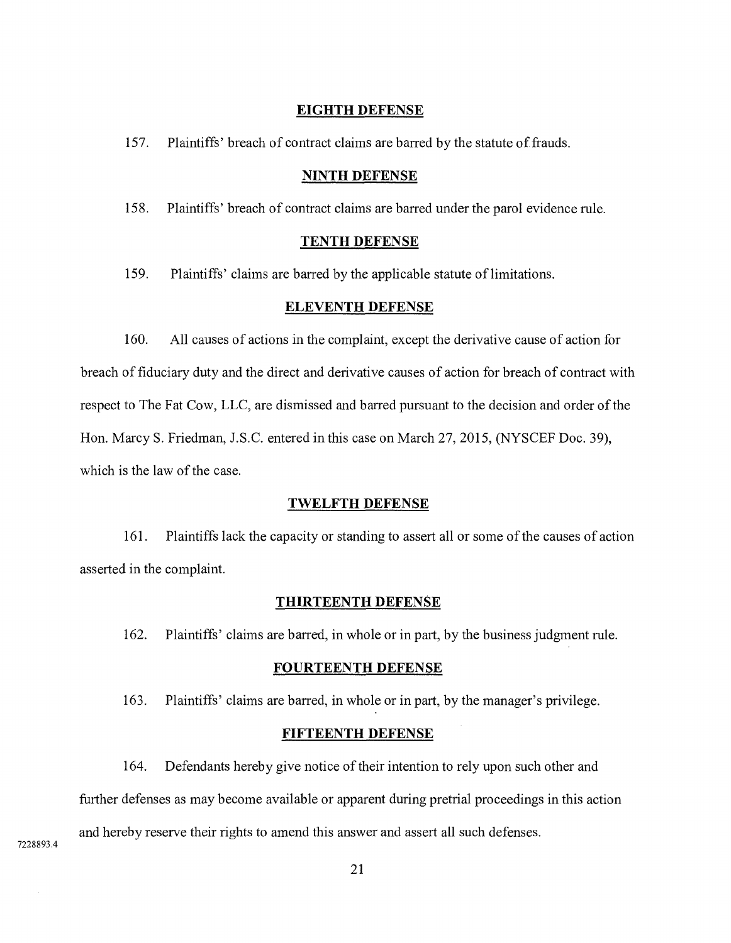#### **EIGHTH DEFENSE**

157. Plaintiffs' breach of contract claims are barred by the statute of frauds.

#### **NINTH DEFENSE**

158. Plaintiffs' breach of contract claims are barred under the parol evidence rule.

### **TENTH DEFENSE**

159. Plaintiffs' claims are barred by the applicable statute of limitations.

#### **ELEVENTH DEFENSE**

160. All causes of actions in the complaint, except the derivative cause of action for breach of fiduciary duty and the direct and derivative causes of action for breach of contract with respect to The Fat Cow, LLC, are dismissed and barred pursuant to the decision and order of the Hon. Marcy S. Friedman, J.S.C. entered in this case on March 27, 2015, (NYSCEF Doc. 39), which is the law of the case.

#### **TWELFTH DEFENSE**

161. Plaintiffslack the capacity or standing to assert all or some of the causes of action asserted in the complaint.

#### **THIRTEENTH DEFENSE**

162. Plaintiffs' claims are barred, in whole or in part, by the business judgment rule.

#### **FOURTEENTH DEFENSE**

163. Plaintiffs' claims are barred, in whole or in part, by the manager's privilege.

#### **FIFTEENTH DEFENSE**

164. Defendants hereby give notice of their intention to rely upon such other and further defenses as may become available or apparent during pretrial proceedings in this action and hereby reserve their rights to amend this answer and assert all such defenses.

7228893.4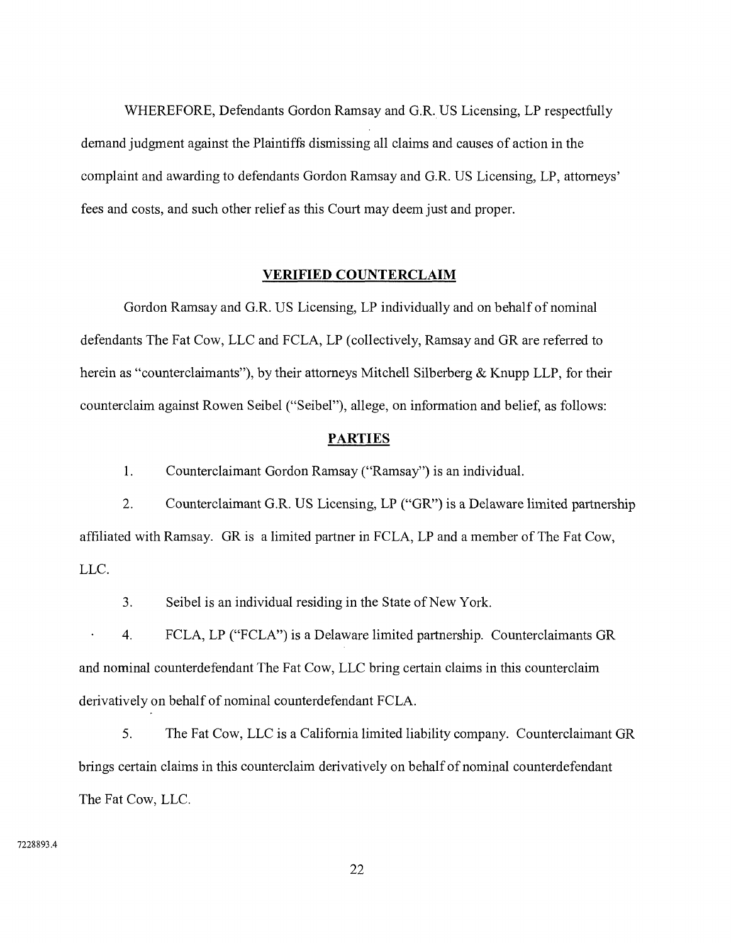WHEREFORE, Defendants Gordon Ramsay and G.R. US Licensing, LP respectfully demand judgment against the Plaintiffs dismissing all claims and causes of action in the complaint and awarding to defendants Gordon Ramsay and G.R. US Licensing, LP, attorneys' fees and costs, and such other relief as this Court may deem just and proper.

### **VERIFIED COUNTERCLAIM**

Gordon Ramsay and G.R. US Licensing, LP individually and on behalf of nominal defendants The Fat Cow, LLC and FCLA, LP (collectively, Ramsay and GR are referred to herein as "counterclaimants"), by their attorneys Mitchell Silberberg & Knupp LLP, for their counterclaim against Rowen Seibel ("Seibel"), allege, on information and belief, as follows:

### **PARTIES**

1. Counterclaimant Gordon Ramsay ("Ramsay") is an individual.

 $\overline{2}$ . Counterclaimant G.R. US Licensing, LP ("GR") is a Delaware limited partnership affiliated with Ramsay. GR is a limited partner in FCLA, LP and a member of The Fat Cow, LLC.

 $3<sub>1</sub>$ Seibel is an individual residing in the State of New York.

4 FCLA, LP ("FCLA") is a Delaware limited partnership. Counterclaimants GR and nominal counterdefendant The Fat Cow, LLC bring certain claims in this counterclaim derivatively on behalf of nominal counterdefendant FCLA.

5. The Fat Cow, LLC is a California limited liability company. Counterclaimant GR brings certain claims in this counterclaim derivatively on behalf of nominal counterdefendant The Fat Cow, LLC.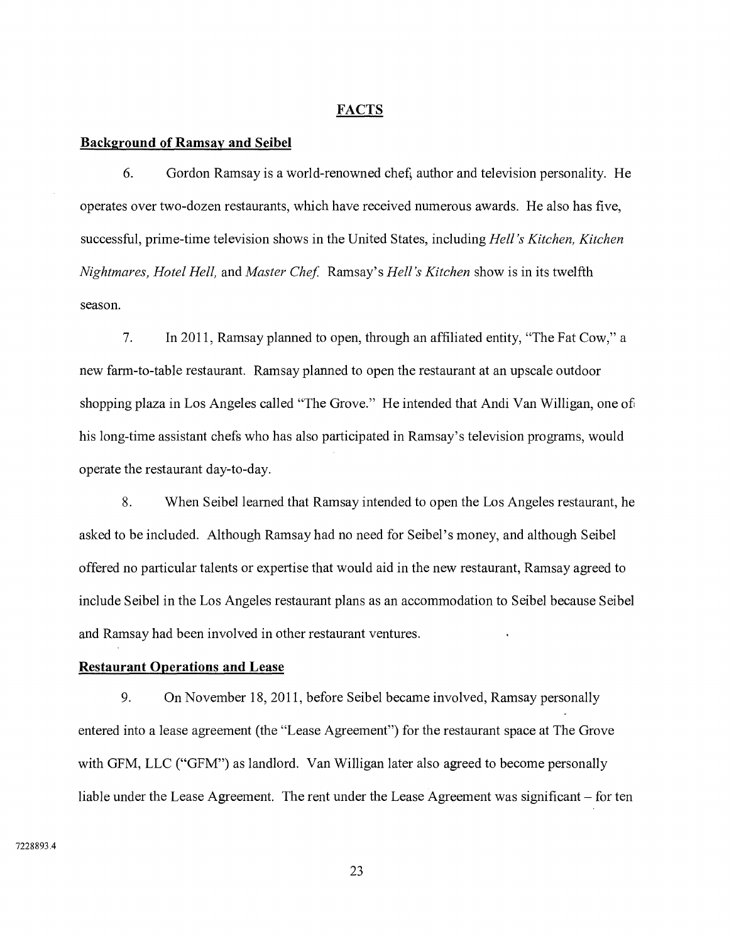#### **FACTS**

#### **Background of Ramsav and Seibel**

6. Gordon Ramsay is a world-renowned chef, author and television personality. He operates over two-dozen restaurants, which have received numerous awards. He also has five, successful, prime-time television shows in the United States, including *Hell's Kitchen, Kitchen Nightmares, Hotel Hell,* and *Master Chef.* Ramsay's *Hell's Kitchen* show is in its twelfth season.

 $7.$ In 2011, Ramsay planned to open, through an affiliated entity, "The Fat Cow," a new farm-to-table restaurant. Ramsay planned to open the restaurant at an upscale outdoor shopping plaza in Los Angeles called "The Grove." He intended that Andi Van Willigan, one of his long-time assistant chefs who has also participated in Ramsay's television programs, would operate the restaurant day-to-day.

8. When Seibel learned that Ramsay intended to open the Los Angeles restaurant, he asked to be included. Although Ramsay had no need for Seibel's money, and although Seibel offered no particular talents or expertise that would aid in the new restaurant, Ramsay agreed to include Seibel in the Los Angeles restaurant plans as an accommodation to Seibel because Seibel and Ramsay had been involved in other restaurant ventures.

#### **Restaurant Operations and Lease**

9. On November 18, 2011, before Seibel became involved, Ramsay personally entered into a lease agreement (the "Lease Agreement") for the restaurant space at The Grove with GFM, LLC ("GFM") as landlord. Van Willigan later also agreed to become personally liable under the Lease Agreement. The rent under the Lease Agreement was significant – for ten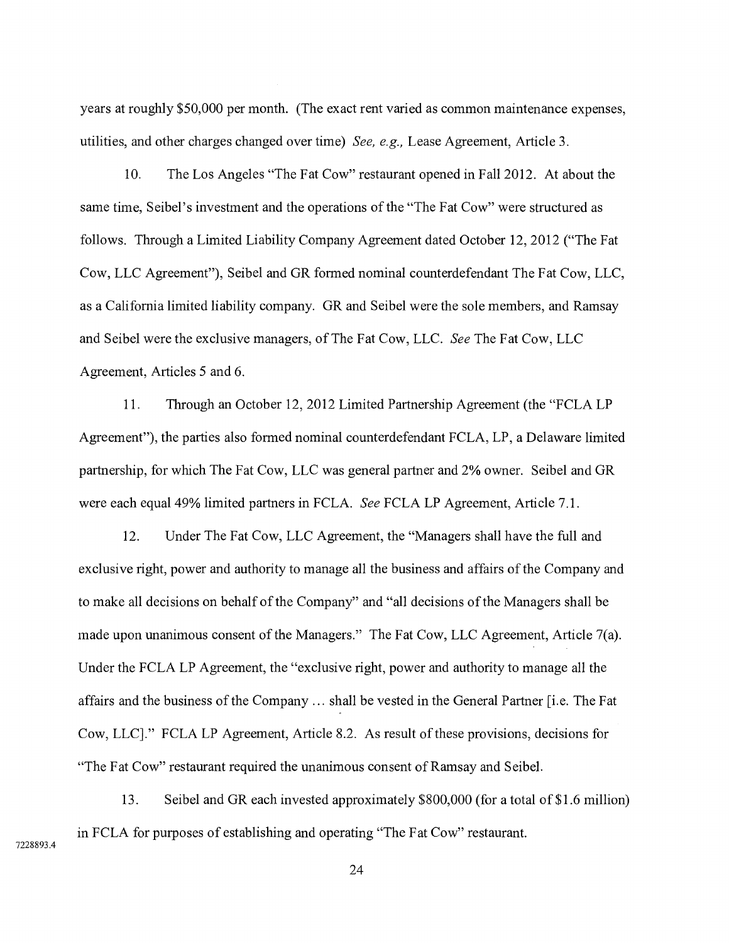years at roughly \$50,000 per month. (The exact rent varied as common maintenance expenses, utilities, and other charges changed over time) *See, e.g.,* Lease Agreement, Article 3.

10. The Los Angeles "The Fat Cow" restaurant opened in Fall 2012. At about the same time, Seibel's investment and the operations of the "The Fat Cow" were structured as follows. Through a Limited Liability Company Agreement dated October 12, 2012 ("The Fat Cow, LLC Agreement"), Seibel and GR formed nominal counterdefendant The Fat Cow, LLC, as a California limited liability company. GR and Seibel were the sole members, and Ramsay and Seibel were the exclusive managers, of The Fat Cow, LLC. *See* The Fat Cow, LLC Agreement, Articles 5 and 6.

11. Through an October 12, 2012 Limited Partnership Agreement (the "FCLA LP Agreement"), the parties also formed nominal counterdefendant FCLA, LP, a Delaware limited partnership, for which The Fat Cow, LLC was general partner and 2% owner. Seibel and GR were each equal 49% limited partners in FCLA. *See* FCLA LP Agreement, Article 7.1.

12. Under The Fat Cow, LLC Agreement, the "Managers shall have the full and exclusive right, power and authority to manage all the business and affairs of the Company and to make all decisions on behalf of the Company" and "all decisions of the Managers shall be made upon unanimous consent of the Managers." The Fat Cow, LLC Agreement, Article 7(a). Under the FCLA LP Agreement, the "exclusive right, power and authority to manage all the affairs and the business of the Company ... shall be vested in the General Partner [i.e. The Fat Cow, LLC]." FCLA LP Agreement, Article 8.2. As result of these provisions, decisions for "The Fat Cow" restaurant required the unanimous consent of Ramsay and Seibel.

13. Seibel and GR each invested approximately \$800,000 (for a total of \$1.6 million) in FCLA for purposes of establishing and operating "The Fat Cow" restaurant.

7228893.4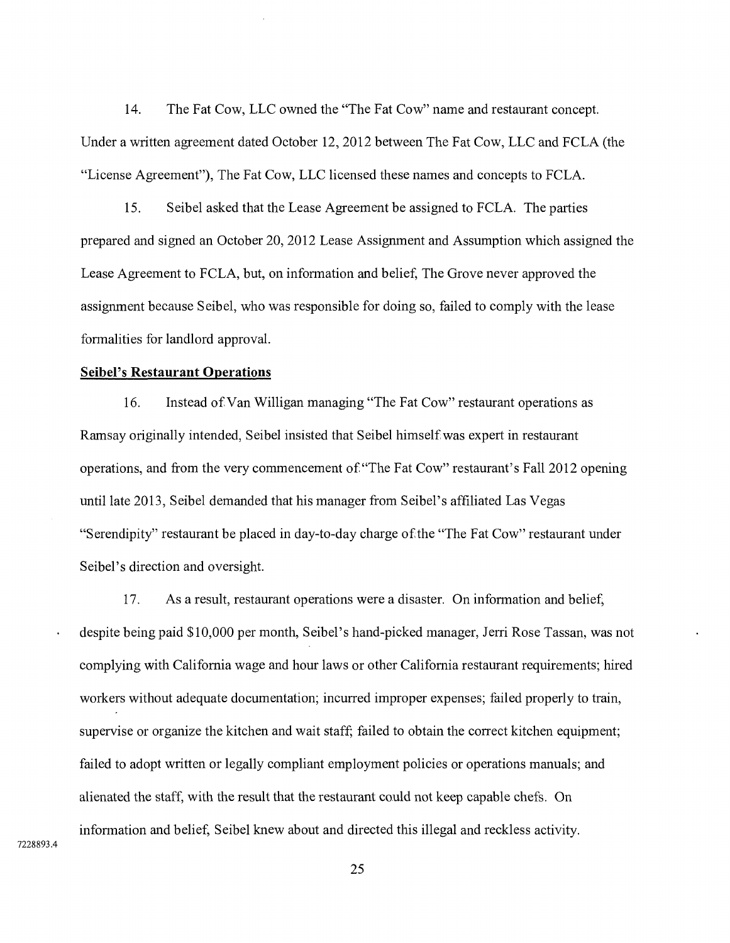14. The Fat Cow, LLC owned the "The Fat Cow" name and restaurant concept. Under a written agreement dated October 12, 2012 between The Fat Cow, LLC and FCLA (the "License Agreement"), The Fat Cow, LLC licensed these names and concepts to FCLA.

15. Seibel asked that the Lease Agreement be assigned to FCLA. The parties prepared and signed an October 20, 2012 Lease Assignment and Assumption which assigned the Lease Agreement to FCLA, but, on information and belief, The Grove never approved the assignment because Seibel, who was responsible for doing so, failed to comply with the lease formalities for landlord approval.

#### **Seibel's Restaurant Operations**

16. Instead of Van Willigan managing "The Fat Cow" restaurant operations as Ramsay originally intended, Seibel insisted that Seibel himself was expert in restaurant operations, and from the very commencement of "The Fat Cow" restaurant's Fall 2012 opening until late 2013, Seibel demanded that his manager from Seibel's affiliated Las Vegas "Serendipity" restaurant be placed in day-to-day charge of the "The Fat Cow" restaurant under Seibel's direction and oversight.

17. As a result, restaurant operations were a disaster. On information and belief, despite being paid \$10,000 per month, Seibel's hand-picked manager, Jerri Rose Tassan, was not complying with California wage and hour laws or other California restaurant requirements; hired workers without adequate documentation; incurred improper expenses; failed properly to train, supervise or organize the kitchen and wait staff; failed to obtain the correct kitchen equipment; failed to adopt written or legally compliant employment policies or operations manuals; and alienated the staff, with the result that the restaurant could not keep capable chefs. On information and belief, Seibel knew about and directed this illegal and reckless activity.

7228893.4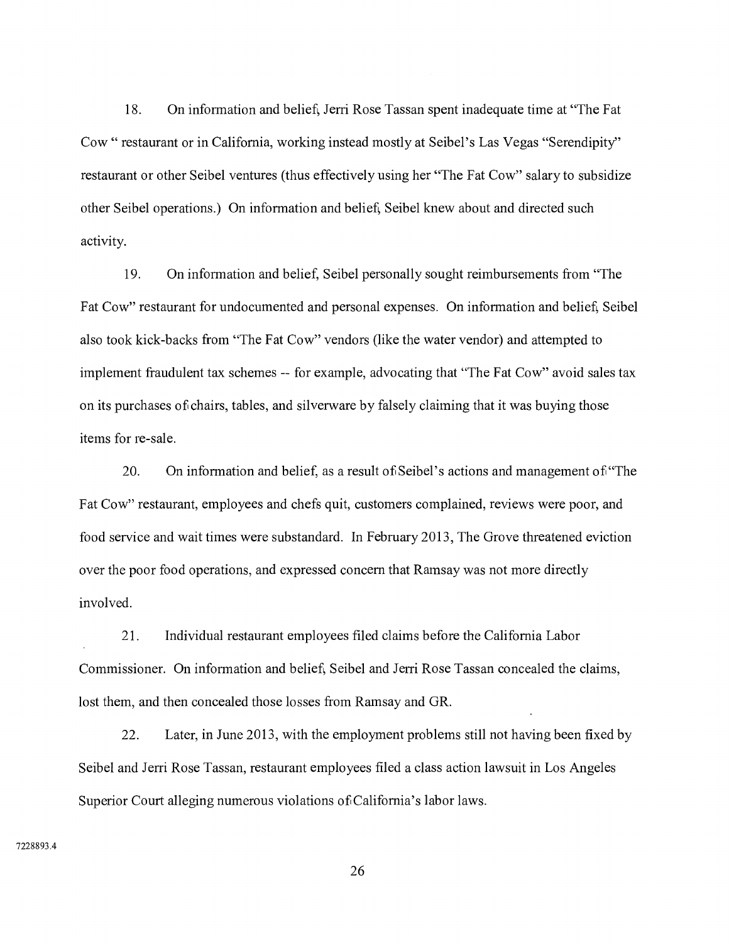18. On information and belief, Jerri Rose Tassan spent inadequate time at "The Fat Cow " restaurant or in California, working instead mostly at Seibel's Las Vegas "Serendipity" restaurant or other Seibel ventures (thus effectively using her "The Fat Cow" salary to subsidize other Seibel operations.) On information and belief, Seibel knew about and directed such activity.

19. On information and belief, Seibel personally sought reimbursements from "The Fat Cow" restaurant for undocumented and personal expenses. On information and belief, Seibel also took kick-backs from "The Fat Cow" vendors (like the water vendor) and attempted to implement fraudulent tax schemes — for example, advocating that "The Fat Cow" avoid sales tax on its purchases of chairs, tables, and silverware by falsely claiming that it was buying those items for re-sale.

**20.** On information and belief, as a result of Seibel's actions and management of "The Fat Cow" restaurant, employees and chefs quit, customers complained, reviews were poor, and food service and wait times were substandard. In February 2013, The Grove threatened eviction over the poor food operations, and expressed concern that Ramsay was not more directly involved.

21. Individual restaurant employees filed claims before the California Labor Commissioner. On information and belief, Seibel and Jerri Rose Tassan concealed the claims, lost them, and then concealed those losses from Ramsay and GR.

22. Later, in June 2013, with the employment problems still not having been fixed by Seibel and Jerri Rose Tassan, restaurant employees filed a class action lawsuit in Los Angeles Superior Court alleging numerous violations of California's labor laws.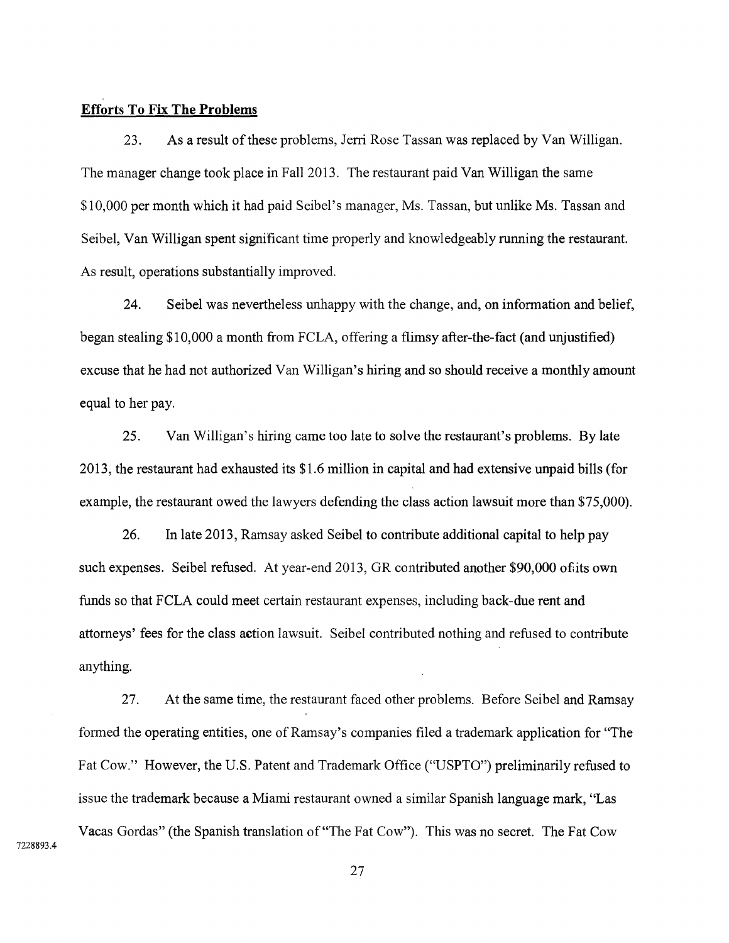## **Efforts To Fix The Problems**

23. As a result of these problems, Jerri Rose Tassan was replaced by Van Willigan. The manager change took place in Fall 2013. The restaurant paid Van Willigan the same \$10,000 per month which it had paid Seibel's manager, Ms. Tassan, but unlike Ms. Tassan and Seibel, Van Willigan spent significant time properly and knowledgeably running the restaurant. As result, operations substantially improved.

24. Seibel was nevertheless unhappy with the change, and, on information and belief, began stealing \$10,000 a month from FCLA, offering a flimsy after-the-fact (and unjustified) excuse that he had not authorized Van Willigan's hiring and so should receive a monthly amount equal to her pay.

25. Van Willigan's hiring came too late to solve the restaurant's problems. By late 2013, the restaurant had exhausted its \$1.6 million in capital and had extensive unpaid bills (for example, the restaurant owed the lawyers defending the class action lawsuit more than \$75,000).

26. In late 2013, Ramsay asked Seibel to contribute additional capital to help pay such expenses. Seibel refused. At year-end 2013, GR contributed another \$90,000 of its own funds so that FCLA could meet certain restaurant expenses, including back-due rent and attorneys' fees for the class action lawsuit. Seibel contributed nothing and refused to contribute anything.

27. At the same time, the restaurant faced other problems. Before Seibel and Ramsay formed the operating entities, one of Ramsay's companies filed a trademark application for "The Fat Cow." However, the U.S. Patent and Trademark Office ("USPTO") preliminarily refused to issue the trademark because a Miami restaurant owned a similar Spanish language mark, "Las Vacas Gordas" (the Spanish translation of "The Fat Cow"). This was no secret. The Fat Cow

7228893.4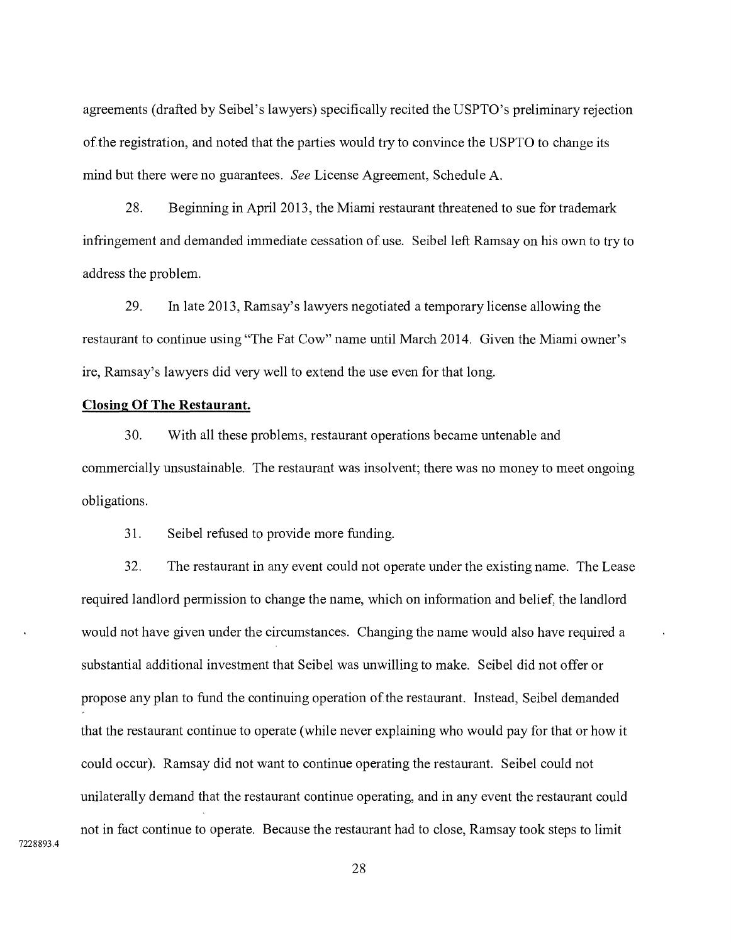agreements (drafted by Seibel's lawyers) specifically recited the USPTO's preliminary rejection of the registration, and noted that the parties would try to convince the USPTO to change its mind but there were no guarantees. *See* License Agreement, Schedule A.

28. Beginning in April 2013, the Miami restaurant threatened to sue for trademark infringement and demanded immediate cessation of use. Seibel left Ramsay on his own to try to address the problem.

29. In late 2013, Ramsay's lawyers negotiated a temporary license allowing the restaurant to continue using "The Fat Cow" name until March 2014. Given the Miami owner's ire, Ramsay's lawyers did very well to extend the use even for that long.

#### **Closing Of The Restaurant.**

30. With all these problems, restaurant operations became untenable and commercially unsustainable. The restaurant was insolvent; there was no money to meet ongoing obligations.

31. Seibel refused to provide more funding.

32. The restaurant in any event could not operate under the existing name. The Lease required landlord permission to change the name, which on information and belief, the landlord would not have given under the circumstances. Changing the name would also have required a substantial additional investment that Seibel was unwilling to make. Seibel did not offer or propose any plan to fund the continuing operation of the restaurant. Instead, Seibel demanded that the restaurant continue to operate (while never explaining who would pay for that or how it could occur). Ramsay did not want to continue operating the restaurant. Seibel could not unilaterally demand that the restaurant continue operating, and in any event the restaurant could not in fact continue to operate. Because the restaurant had to close, Ramsay took steps to limit

7228893.4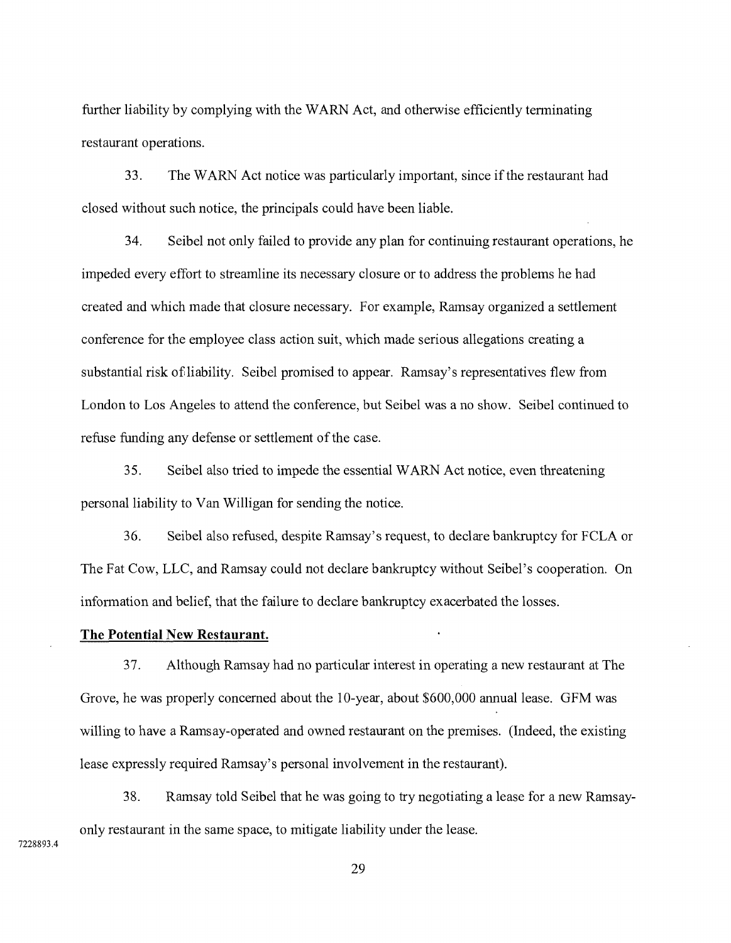further liability by complying with the WARN Act, and otherwise efficiently terminating restaurant operations.

33. The WARN Act notice was particularly important, since if the restaurant had closed without such notice, the principals could have been liable.

34. Seibel not only failed to provide any plan for continuing restaurant operations, he impeded every effort to streamline its necessary closure or to address the problems he had created and which made that closure necessary. For example, Ramsay organized a settlement conference for the employee class action suit, which made serious allegations creating a substantial risk of liability. Seibel promised to appear. Ramsay's representatives flew from London to Los Angeles to attend the conference, but Seibel was a no show. Seibel continued to refuse funding any defense or settlement of the case.

35. Seibel also tried to impede the essential WARN Act notice, even threatening personal liability to Van Willigan for sending the notice.

36. Seibel also refused, despite Ramsay's request, to declare bankruptcy for FCLA or The Fat Cow, LLC, and Ramsay could not declare bankruptcy without Seibel's cooperation. On information and belief, that the failure to declare bankruptcy exacerbated the losses.

### **The Potential New Restaurant.**

37. Although Ramsay had no particular interest in operating a new restaurant at The Grove, he was properly concerned about the 10-year, about \$600,000 annual lease. GFM was willing to have a Ramsay-operated and owned restaurant on the premises. (Indeed, the existing lease expressly required Ramsay's personal involvement in the restaurant).

38. Ramsay told Seibel that he was going to try negotiating a lease for a new Ramsayonly restaurant in the same space, to mitigate liability under the lease.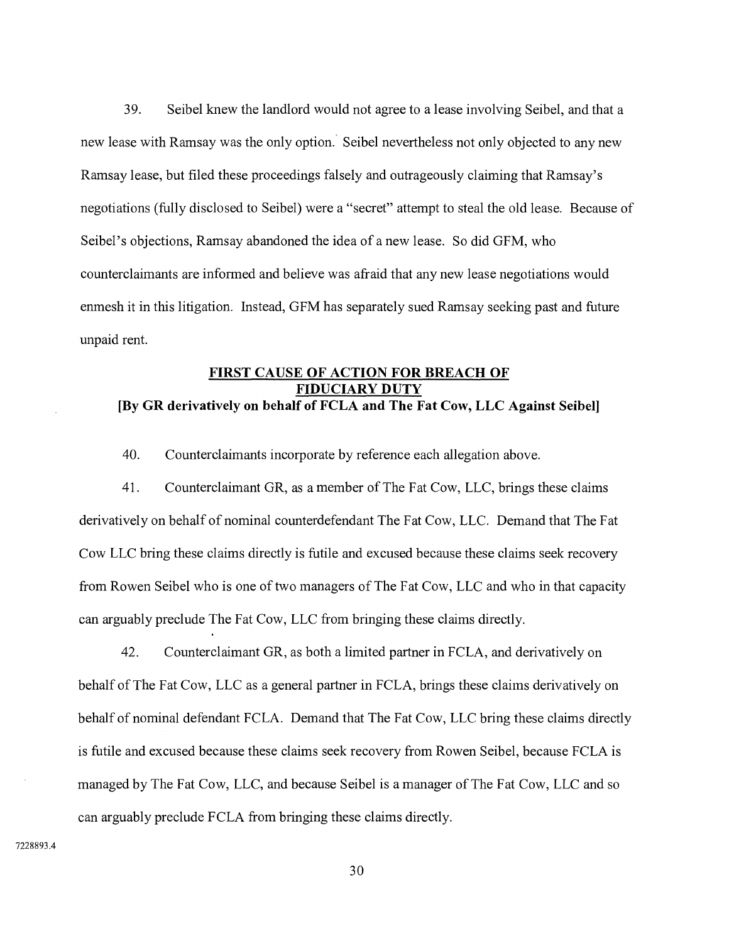39. Seibel knew the landlord would not agree to a lease involving Seibel, and that a new lease with Ramsay was the only option. Seibel nevertheless not only objected to any new Ramsay lease, but filed these proceedings falsely and outrageously claiming that Ramsay's negotiations (fully disclosed to Seibel) were a "secret" attempt to steal the old lease. Because of Seibel's objections, Ramsay abandoned the idea of a new lease. So did GFM, who counterclaimants are informed and believe was afraid that any new lease negotiations would enmesh it in this litigation. Instead, GFM has separately sued Ramsay seeking past and future unpaid rent.

## **FIRST CAUSE OF ACTION FOR BREACH OF FIDUCIARY DUTY [By GR derivatively on behalf of FCLA and The Fat Cow, LLC Against Seibel]**

40. Counterclaimants incorporate by reference each allegation above.

41. Counterclaimant GR, as a member of The Fat Cow, LLC, brings these claims derivatively on behalf of nominal counterdefendant The Fat Cow, LLC. Demand that The Fat Cow LLC bring these claims directly is futile and excused because these claims seek recovery from Rowen Seibel who is one of two managers of The Fat Cow, LLC and who in that capacity can arguably preclude The Fat Cow, LLC from bringing these claims directly.

42. Counterclaimant GR, as both a limited partner in FCLA, and derivatively on behalf of The Fat Cow, LLC as a general partner in FCLA, brings these claims derivatively on behalf of nominal defendant FCLA. Demand that The Fat Cow, LLC bring these claims directly is futile and excused because these claims seek recovery from Rowen Seibel, because FCLA is managed by The Fat Cow, LLC, and because Seibel is a manager of The Fat Cow, LLC and so can arguably preclude FCLA from bringing these claims directly.

7228893.4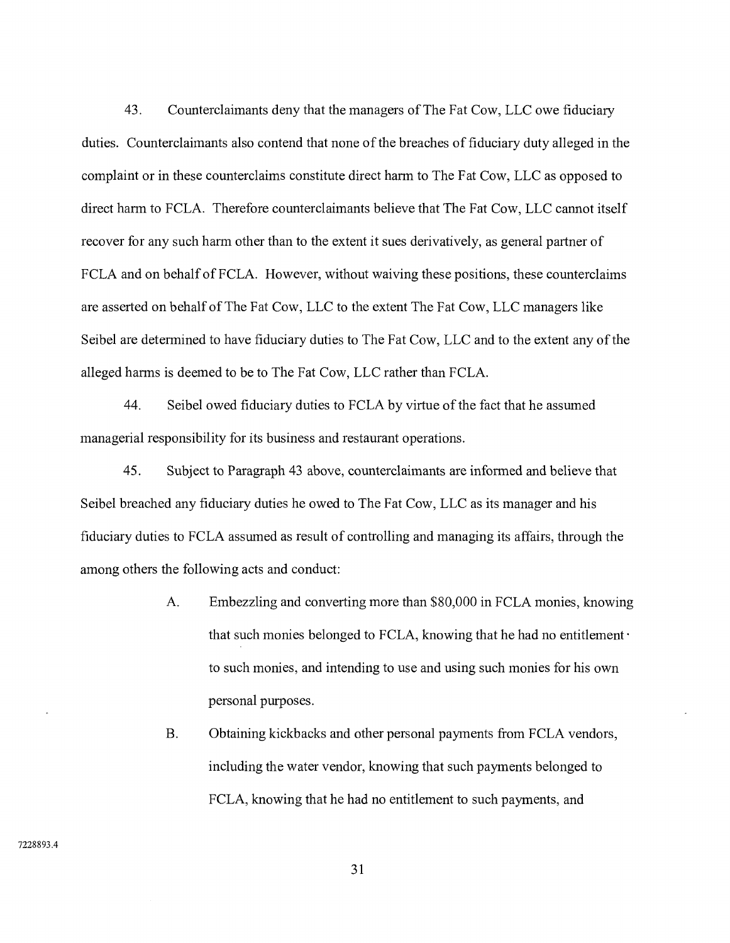43. Counterclaimants deny that the managers of The Fat Cow, LLC owe fiduciary duties. Counterclaimants also contend that none of the breaches of fiduciary duty alleged in the complaint or in these counterclaims constitute direct harm to The Fat Cow, LLC as opposed to direct harm to FCLA. Therefore counterclaimants believe that The Fat Cow, LLC cannot itself recover for any such harm other than to the extent it sues derivatively, as general partner of FCLA and on behalf of FCLA. However, without waiving these positions, these counterclaims are asserted on behalf of The Fat Cow, LLC to the extent The Fat Cow, LLC managers like Seibel are determined to have fiduciary duties to The Fat Cow, LLC and to the extent any of the alleged harms is deemed to be to The Fat Cow, LLC rather than FCLA.

44. Seibel owed fiduciary duties to FCLA by virtue of the fact that he assumed managerial responsibility for its business and restaurant operations.

45. Subject to Paragraph 43 above, counterclaimants are informed and believe that Seibel breached any fiduciary duties he owed to The Fat Cow, LLC as its manager and his fiduciary duties to FCLA assumed as result of controlling and managing its affairs, through the among others the following acts and conduct:

- A. Embezzling and converting more than \$80,000 in FCLA monies, knowing that such monies belonged to FCLA, knowing that he had no entitlement  $\cdot$ to such monies, and intending to use and using such monies for his own personal purposes.
- B. Obtaining kickbacks and other personal payments from FCLA vendors, including the water vendor, knowing that such payments belonged to FCLA, knowing that he had no entitlement to such payments, and

7228893.4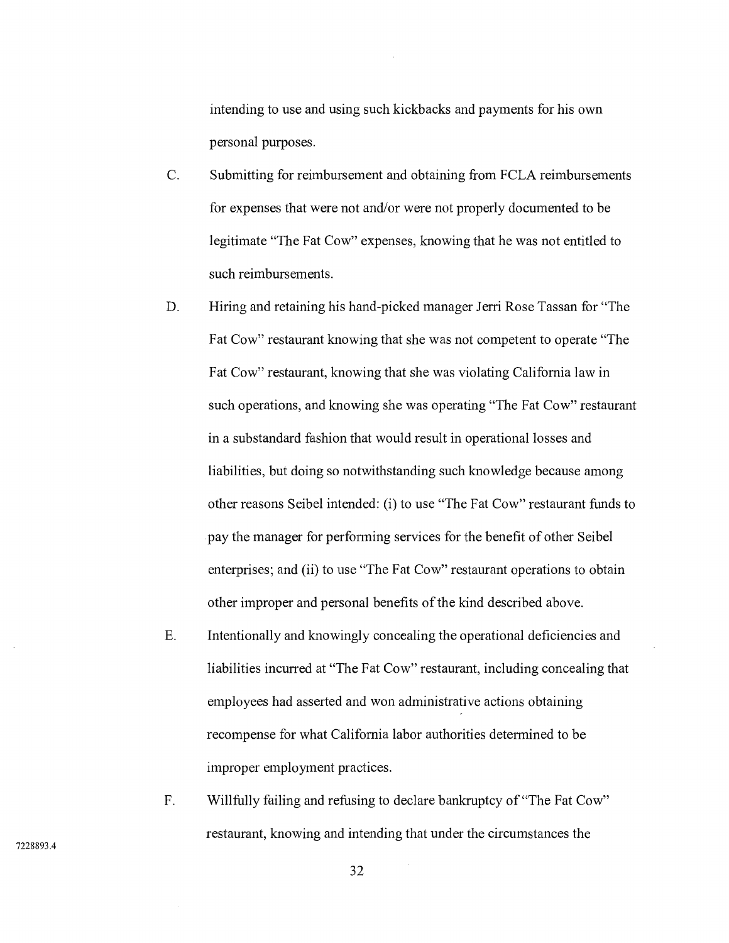intending to use and using such kickbacks and payments for his own personal purposes.

- C. Submitting for reimbursement and obtaining from FCLA reimbursements for expenses that were not and/or were not properly documented to be legitimate "The Fat Cow" expenses, knowing that he was not entitled to such reimbursements.
- D. Hiring and retaining his hand-picked manager Jerri Rose Tassan for "The Fat Cow" restaurant knowing that she was not competent to operate "The Fat Cow" restaurant, knowing that she was violating California law in such operations, and knowing she was operating "The Fat Cow" restaurant in a substandard fashion that would result in operational losses and liabilities, but doing so notwithstanding such knowledge because among other reasons Seibel intended: (i) to use "The Fat Cow" restaurant fundsto pay the manager for performing services for the benefit of other Seibel enterprises; and (ii) to use "The Fat Cow" restaurant operations to obtain other improper and personal benefits of the kind described above.
- E. Intentionally and knowingly concealing the operational deficiencies and liabilities incurred at "The Fat Cow" restaurant, including concealing that employees had asserted and won administrative actions obtaining recompense for what California labor authorities determined to be improper employment practices.
- ${\bf F}.$ Willfully failing and refusing to declare bankruptcy of "The Fat Cow" restaurant, knowing and intending that under the circumstances the

7228893.4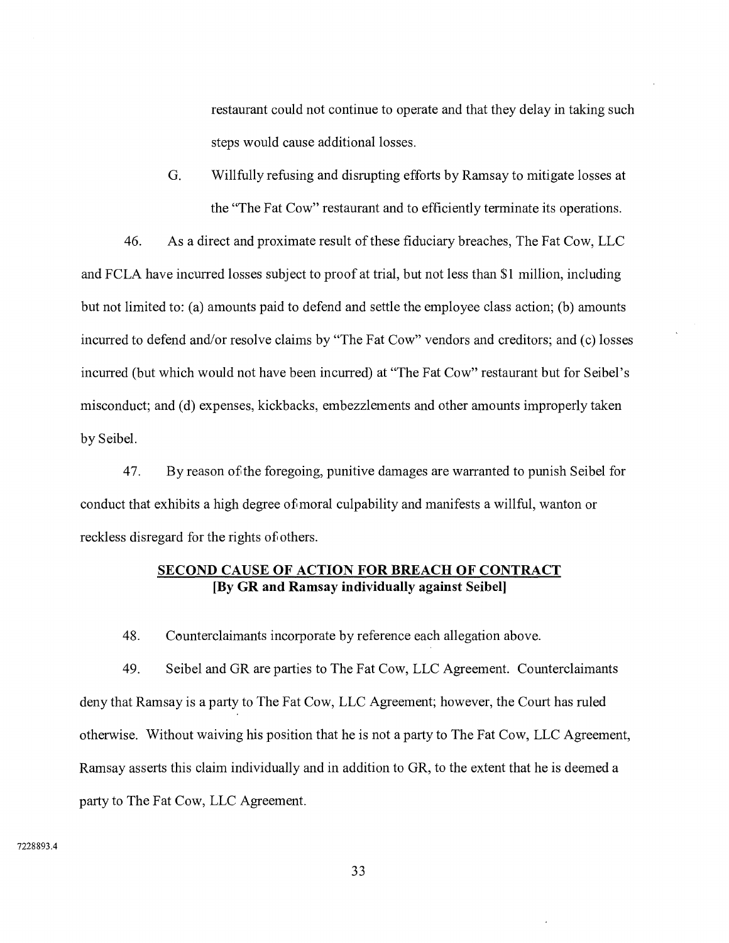restaurant could not continue to operate and that they delay in taking such steps would cause additional losses.

G. Willfully refusing and disrupting efforts by Ramsay to mitigate losses at the "The Fat Cow" restaurant and to efficiently terminate its operations.

46. As a direct and proximate result of these fiduciary breaches, The Fat Cow, LLC and FCLA have incurred losses subject to proof at trial, but not less than \$1 million, including but not limited to: (a) amounts paid to defend and settle the employee class action; (b) amounts incurred to defend and/or resolve claims by "The Fat Cow" vendors and creditors; and (c) losses incurred (but which would not have been incurred) at "The Fat Cow" restaurant but for Seibel's misconduct; and (d) expenses, kickbacks, embezzlements and other amounts improperly taken by Seibel.

47. By reason of the foregoing, punitive damages are warranted to punish Seibel for conduct that exhibits a high degree of moral culpability and manifests a willful, wanton or reckless disregard for the rights of others.

# **SECOND CAUSE OF ACTION FOR BREACH OF CONTRACT [By GR and Ramsay individually against Seibel]**

48. Counterclaimants incorporate by reference each allegation above.

49. Seibel and GR are parties to The Fat Cow, LLC Agreement. Counterclaimants deny that Ramsay is a party to The Fat Cow, LLC Agreement; however, the Court has ruled otherwise. Without waiving his position that he is not a party to The Fat Cow, LLC Agreement, Ramsay asserts this claim individually and in addition to GR, to the extent that he is deemed a party to The Fat Cow, LLC Agreement.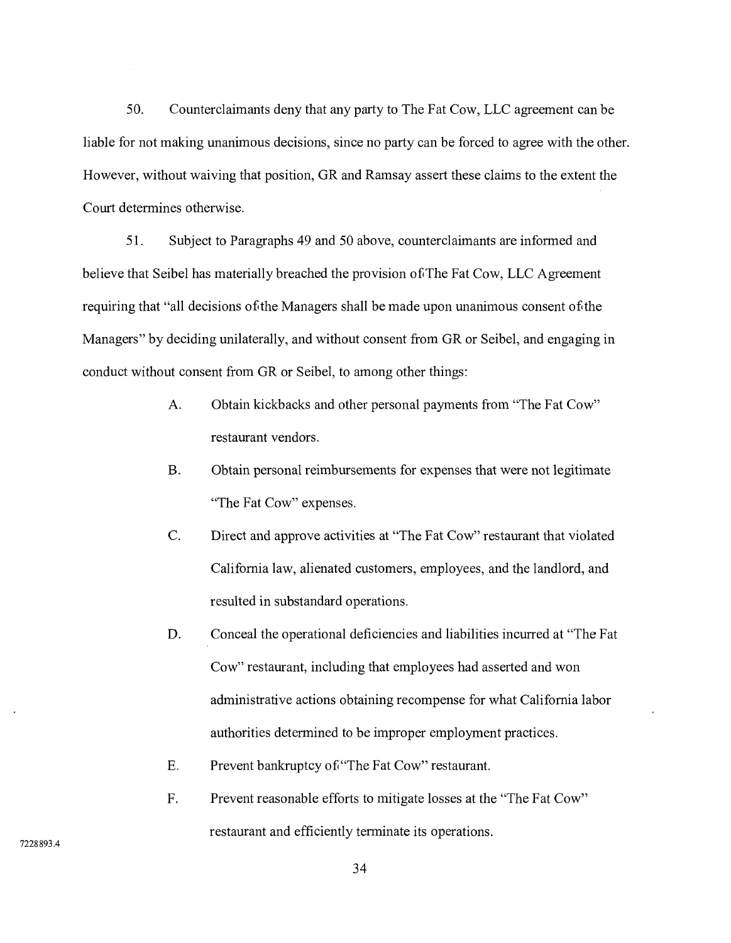50. Counterclaimants deny that any party to The Fat Cow, LLC agreement can be liable for not making unanimous decisions, since no party can be forced to agree with the other. However, without waiving that position, GR and Ramsay assert these claims to the extent the Court determines otherwise.

51. Subject to Paragraphs 49 and 50 above, counterclaimants are informed and believe that Seibel has materially breached the provision of The Fat Cow, LLC Agreement requiring that "all decisions of the Managers shall be made upon unanimous consent of the Managers" by deciding unilaterally, and without consent from GR or Seibel, and engaging in conduct without consent from GR or Seibel, to among other things:

- $A<sub>1</sub>$ Obtain kickbacks and other personal payments from "The Fat Cow" restaurant vendors.
- B. Obtain personal reimbursements for expenses that were not legitimate "The Fat Cow" expenses.
- $\overline{C}$ . Direct and approve activities at "The Fat Cow" restaurant that violated California law, alienated customers, employees, and the landlord, and resulted in substandard operations.
- D. Conceal the operational deficiencies and liabilities incurred at "The Fat Cow" restaurant, including that employees had asserted and won administrative actions obtaining recompense for what California labor authorities determined to be improper employment practices.
- E. Prevent bankruptcy of "The Fat Cow" restaurant.
- F. Prevent reasonable efforts to mitigate losses at the "The Fat Cow" restaurant and efficiently terminate its operations.

7228893.4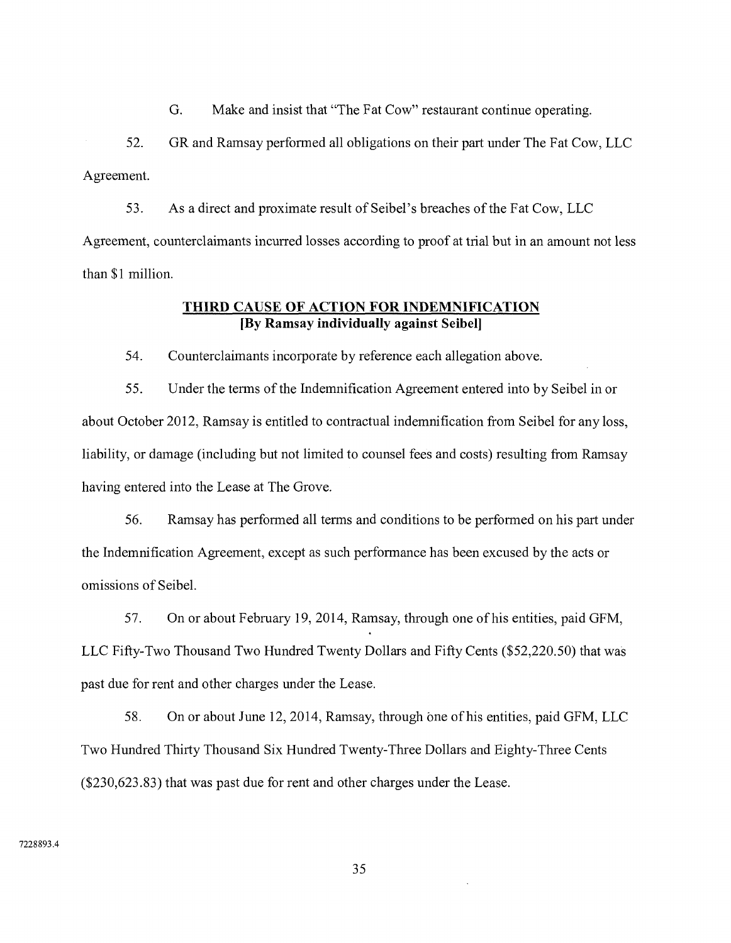G. Make and insist that "The Fat Cow" restaurant continue operating.

52. GR and Ramsay performed all obligations on their part under The Fat Cow, LLC Agreement.

53. As a direct and proximate result of Seibel's breaches of the Fat Cow, LLC Agreement, counterclaimants incurred losses according to proof at trial but in an amount not less than \$1 million.

## **THIRD CAUSE OF ACTION FOR INDEMNIFICATION [By Ramsay individually against Seibel]**

54. Counterclaimants incorporate by reference each allegation above.

55. Under the terms of the Indemnification Agreement entered into by Seibel in or about October 2012, Ramsay is entitled to contractual indemnification from Seibel for any loss, liability, or damage (including but not limited to counsel fees and costs) resulting from Ramsay having entered into the Lease at The Grove.

56. Ramsay has performed all terms and conditions to be performed on his part under the Indemnification Agreement, except as such performance has been excused by the acts or omissions of Seibel.

57. On or about February 19, 2014, Ramsay, through one of his entities, paid GFM, LLC Fifty-Two Thousand Two Hundred Twenty Dollars and Fifty Cents (\$52,220.50) that was past due for rent and other charges under the Lease.

58. On or about June 12, 2014, Ramsay, through one of his entities, paid GFM, LLC Two Hundred Thirty Thousand Six Hundred Twenty-Three Dollars and Eighty-Three Cents (\$230,623.83) that was past due for rent and other charges under the Lease.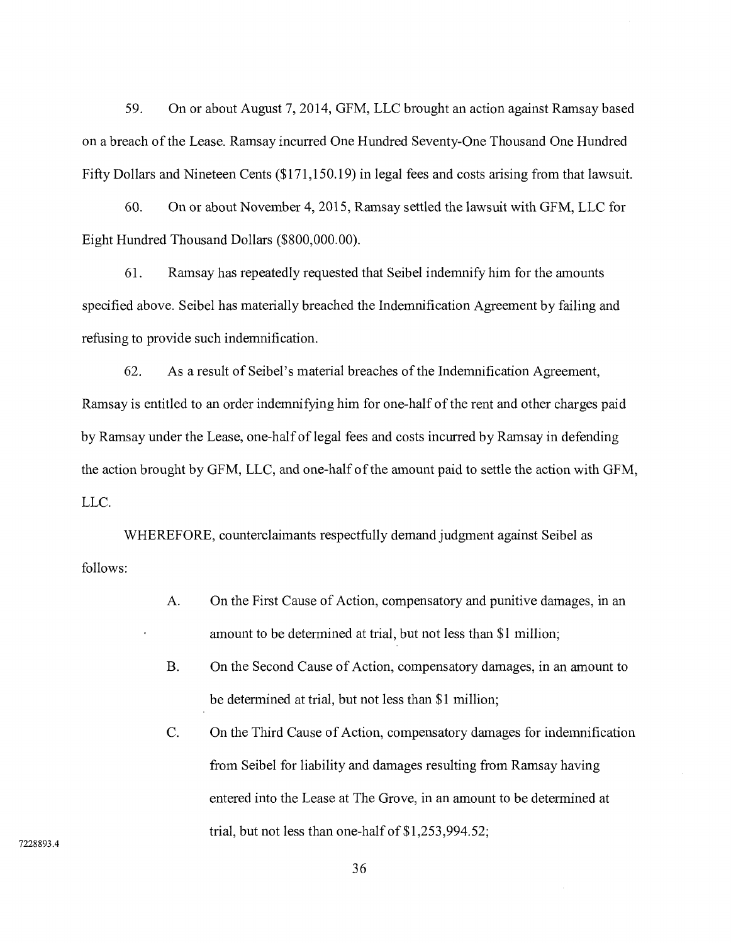59. On or about August 7, 2014, GFM, LLC brought an action against Ramsay based on a breach of the Lease. Ramsay incurred One Hundred Seventy-One Thousand One Hundred Fifty Dollars and Nineteen Cents (\$171,150.19) in legal fees and costs arising from that lawsuit.

60. On or about November 4, 2015, Ramsay settled the lawsuit with GFM, LLC for Eight Hundred Thousand Dollars (\$800,000.00).

61. Ramsay has repeatedly requested that Seibel indemnify him for the amounts specified above. Seibel has materially breached the Indemnification Agreement by failing and refusing to provide such indemnification.

62. As a result of Seibel's material breaches of the Indemnification Agreement, Ramsay is entitled to an order indemnifying him for one-half of the rent and other charges paid by Ramsay under the Lease, one-half of legal fees and costs incurred by Ramsay in defending the action brought by GFM, LLC, and one-half of the amount paid to settle the action with GFM, LLC.

WHEREFORE, counterclaimants respectfully demand judgment against Seibel as follows:

- A. On the First Cause of Action, compensatory and punitive damages, in an amount to be determined at trial, but not less than \$1 million;
- B. On the Second Cause of Action, compensatory damages, in an amount to be determined at trial, but not less than \$1 million;
- C. On the Third Cause of Action, compensatory damages for indemnification from Seibel for liability and damages resulting from Ramsay having entered into the Lease at The Grove, in an amount to be determined at trial, but not less than one-half of \$1,253,994.52;